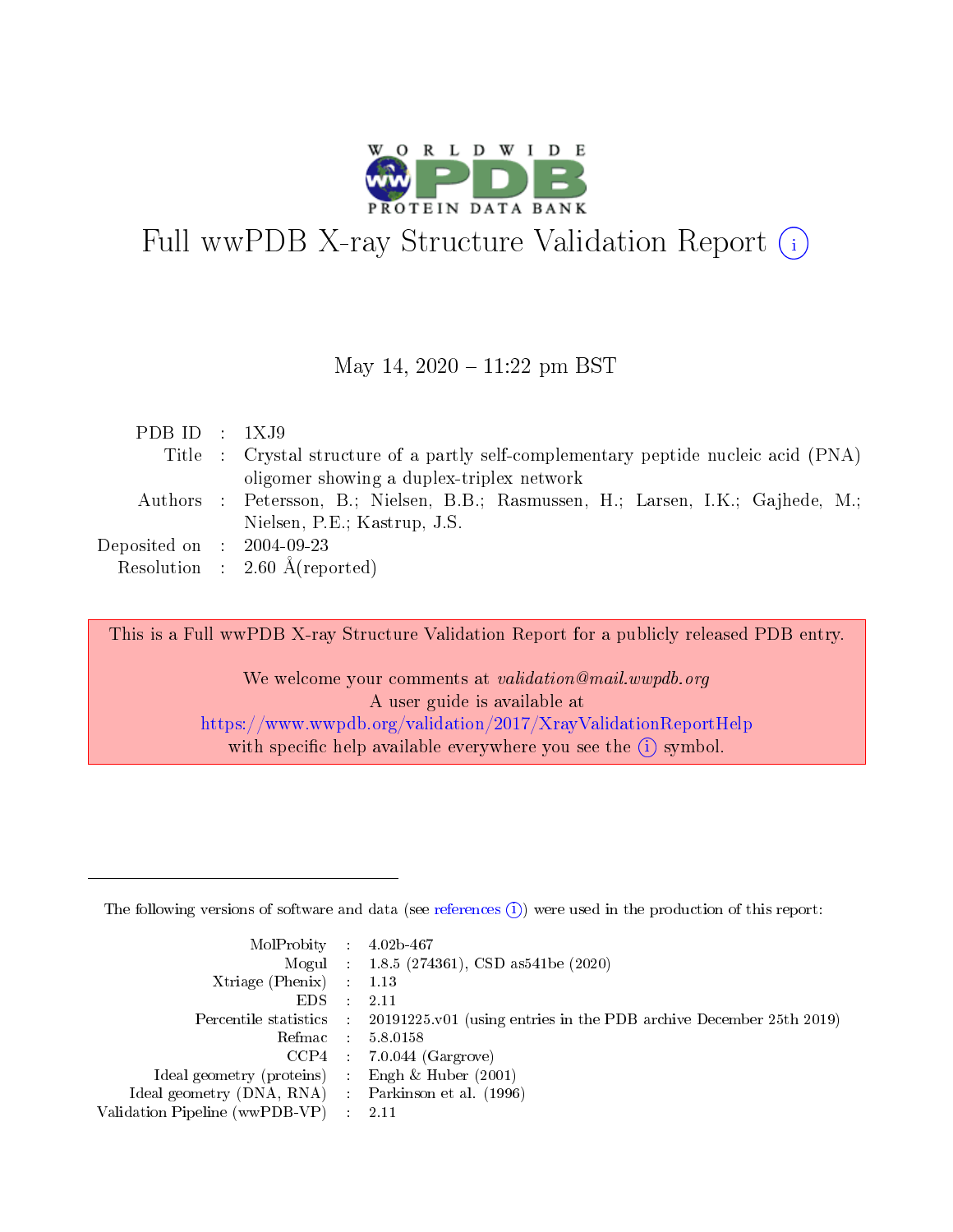

# Full wwPDB X-ray Structure Validation Report  $(i)$

#### May 14,  $2020 - 11:22$  pm BST

| PDB ID : $1XJ9$                     |                                                                                     |
|-------------------------------------|-------------------------------------------------------------------------------------|
|                                     | Title : Crystal structure of a partly self-complementary peptide nucleic acid (PNA) |
|                                     | oligomer showing a duplex-triplex network                                           |
|                                     | Authors : Petersson, B.; Nielsen, B.B.; Rasmussen, H.; Larsen, I.K.; Gajhede, M.;   |
|                                     | Nielsen, P.E.; Kastrup, J.S.                                                        |
| Deposited on $\;$ : 2004-09-23 $\;$ |                                                                                     |
|                                     | Resolution : $2.60 \text{ Å}$ (reported)                                            |

This is a Full wwPDB X-ray Structure Validation Report for a publicly released PDB entry.

We welcome your comments at validation@mail.wwpdb.org A user guide is available at <https://www.wwpdb.org/validation/2017/XrayValidationReportHelp> with specific help available everywhere you see the  $(i)$  symbol.

The following versions of software and data (see [references](https://www.wwpdb.org/validation/2017/XrayValidationReportHelp#references)  $(1)$ ) were used in the production of this report:

| $MolProbability$ : 4.02b-467                       |               |                                                                                            |
|----------------------------------------------------|---------------|--------------------------------------------------------------------------------------------|
|                                                    |               | Mogul : $1.8.5$ (274361), CSD as 541be (2020)                                              |
| Xtriage (Phenix) $: 1.13$                          |               |                                                                                            |
| EDS.                                               | $\mathcal{L}$ | -2.11                                                                                      |
|                                                    |               | Percentile statistics : 20191225.v01 (using entries in the PDB archive December 25th 2019) |
|                                                    |               | Refmac : 5.8.0158                                                                          |
|                                                    |               | $CCP4$ 7.0.044 (Gargrove)                                                                  |
| Ideal geometry (proteins) : Engh $\&$ Huber (2001) |               |                                                                                            |
| Ideal geometry (DNA, RNA) Parkinson et al. (1996)  |               |                                                                                            |
| Validation Pipeline (wwPDB-VP) : 2.11              |               |                                                                                            |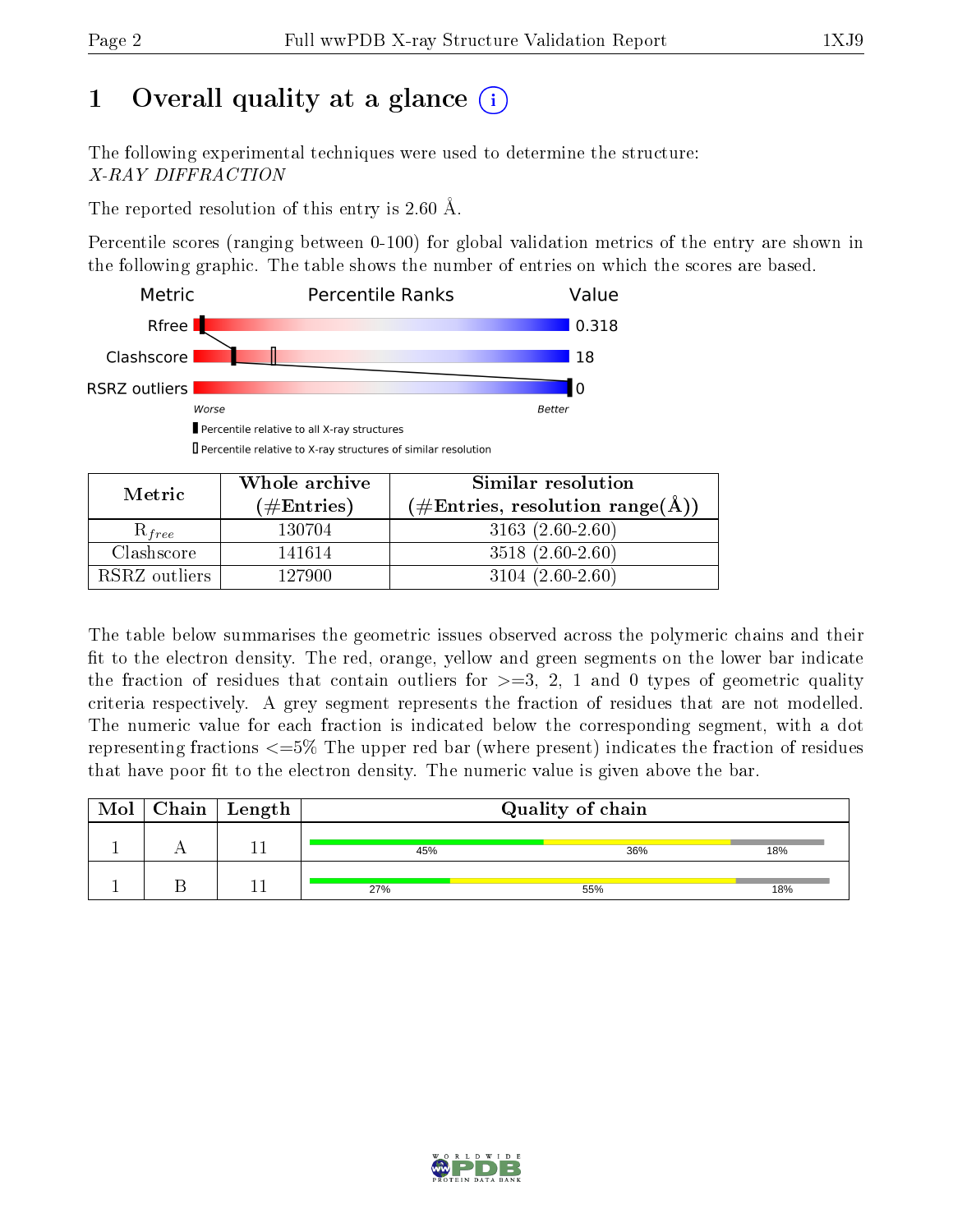# 1 [O](https://www.wwpdb.org/validation/2017/XrayValidationReportHelp#overall_quality)verall quality at a glance  $(i)$

The following experimental techniques were used to determine the structure: X-RAY DIFFRACTION

The reported resolution of this entry is 2.60 Å.

Percentile scores (ranging between 0-100) for global validation metrics of the entry are shown in the following graphic. The table shows the number of entries on which the scores are based.



Percentile relative to X-ray structures of similar resolution

| Metric        | Whole archive<br>$(\#\text{Entries})$ | Similar resolution<br>$(\# \text{Entries}, \text{ resolution } \text{range}(\text{A}))$ |
|---------------|---------------------------------------|-----------------------------------------------------------------------------------------|
|               |                                       |                                                                                         |
| $R_{free}$    | 130704                                | $3163(2.60-2.60)$                                                                       |
| Clashscore    | 141614                                | $3518(2.60-2.60)$                                                                       |
| RSRZ outliers | 127900                                | $3104(2.60-2.60)$                                                                       |

The table below summarises the geometric issues observed across the polymeric chains and their fit to the electron density. The red, orange, yellow and green segments on the lower bar indicate the fraction of residues that contain outliers for  $\geq=3$ , 2, 1 and 0 types of geometric quality criteria respectively. A grey segment represents the fraction of residues that are not modelled. The numeric value for each fraction is indicated below the corresponding segment, with a dot representing fractions <=5% The upper red bar (where present) indicates the fraction of residues that have poor fit to the electron density. The numeric value is given above the bar.

|  | $\text{Mol} \mid \text{Chain} \mid \text{Length}$ | Quality of chain |     |     |
|--|---------------------------------------------------|------------------|-----|-----|
|  |                                                   | 45%              | 36% | 18% |
|  |                                                   | 27%              | 55% | 18% |

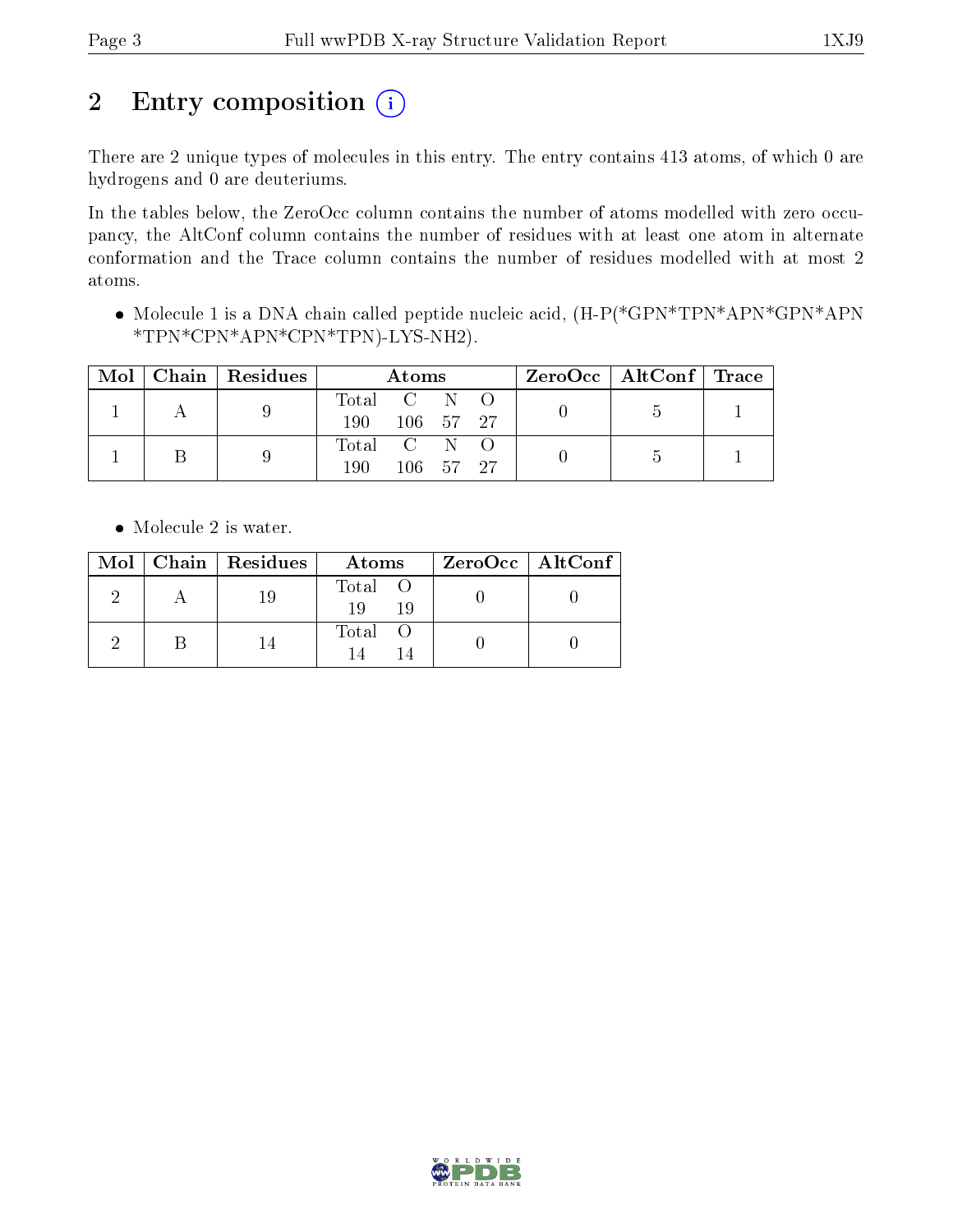# 2 Entry composition  $(i)$

There are 2 unique types of molecules in this entry. The entry contains 413 atoms, of which 0 are hydrogens and 0 are deuteriums.

In the tables below, the ZeroOcc column contains the number of atoms modelled with zero occupancy, the AltConf column contains the number of residues with at least one atom in alternate conformation and the Trace column contains the number of residues modelled with at most 2 atoms.

• Molecule 1 is a DNA chain called peptide nucleic acid,  $(H-P(*\text{GPN*TPN*APN*}\text{GPN*}\text{APN})$ \*TPN\*CPN\*APN\*CPN\*TPN)-LYS-NH2).

| Mol | Chain   Residues | Atoms       |                 |  |  | $\text{ZeroOcc} \mid \text{AltConf} \mid \text{Trace}$ |  |
|-----|------------------|-------------|-----------------|--|--|--------------------------------------------------------|--|
|     |                  | Total C N O |                 |  |  |                                                        |  |
|     |                  | 190         | 106 57 27       |  |  |                                                        |  |
|     |                  | Total C N O |                 |  |  |                                                        |  |
|     |                  | 190         | $106 - 57 - 27$ |  |  |                                                        |  |

• Molecule 2 is water.

|  | $Mol$   Chain   Residues | Atoms               | ZeroOcc   AltConf |
|--|--------------------------|---------------------|-------------------|
|  | 19                       | Total O<br>19<br>19 |                   |
|  |                          | Total               |                   |

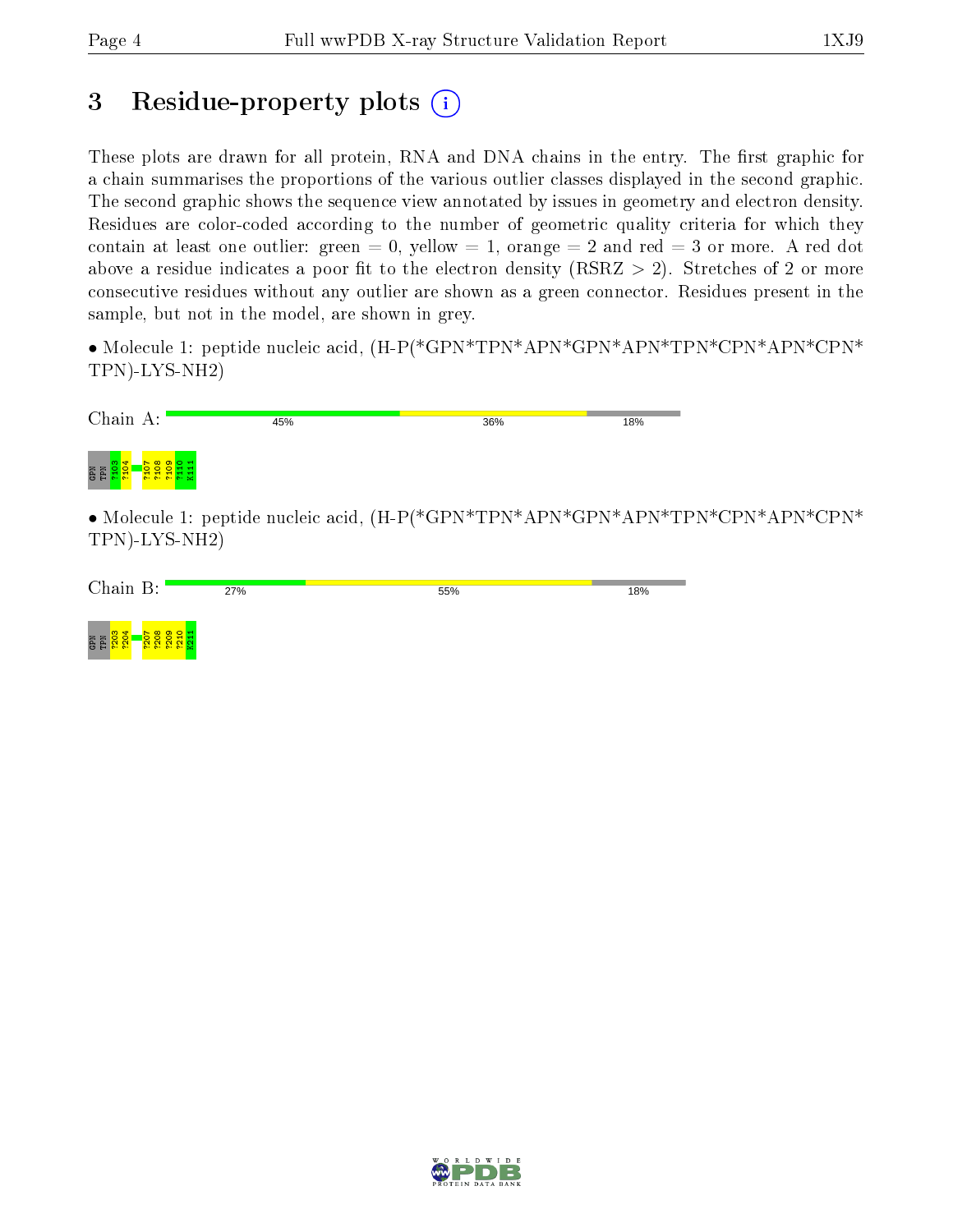# 3 Residue-property plots  $(i)$

These plots are drawn for all protein, RNA and DNA chains in the entry. The first graphic for a chain summarises the proportions of the various outlier classes displayed in the second graphic. The second graphic shows the sequence view annotated by issues in geometry and electron density. Residues are color-coded according to the number of geometric quality criteria for which they contain at least one outlier: green  $= 0$ , yellow  $= 1$ , orange  $= 2$  and red  $= 3$  or more. A red dot above a residue indicates a poor fit to the electron density (RSRZ  $> 2$ ). Stretches of 2 or more consecutive residues without any outlier are shown as a green connector. Residues present in the sample, but not in the model, are shown in grey.

• Molecule 1: peptide nucleic acid,  $(H-P(*GPN*TPN*APN*GPN*APN*TPN*CPN*APN*CPN*APN*CPN*$ TPN)-LYS-NH2)

| Chain A:                                              | 45%                           | 36% | 18% |
|-------------------------------------------------------|-------------------------------|-----|-----|
| <b>MdD</b><br>MdD<br><b>agga</b><br><mark>ទី 3</mark> |                               |     |     |
| .                                                     | $\mathbf{r}$ and $\mathbf{r}$ |     |     |

• Molecule 1: peptide nucleic acid, (H-P(\*GPN\*TPN\*APN\*GPN\*APN\*TPN\*CPN\*APN\*CPN\* TPN)-LYS-NH2)

| Chain B:<br>ັບ.                                      | 27% | 55% | 18% |
|------------------------------------------------------|-----|-----|-----|
| ത<br>ਜ਼<br><b>NET</b><br>o<br><b>COLOR</b><br>$\sim$ |     |     |     |

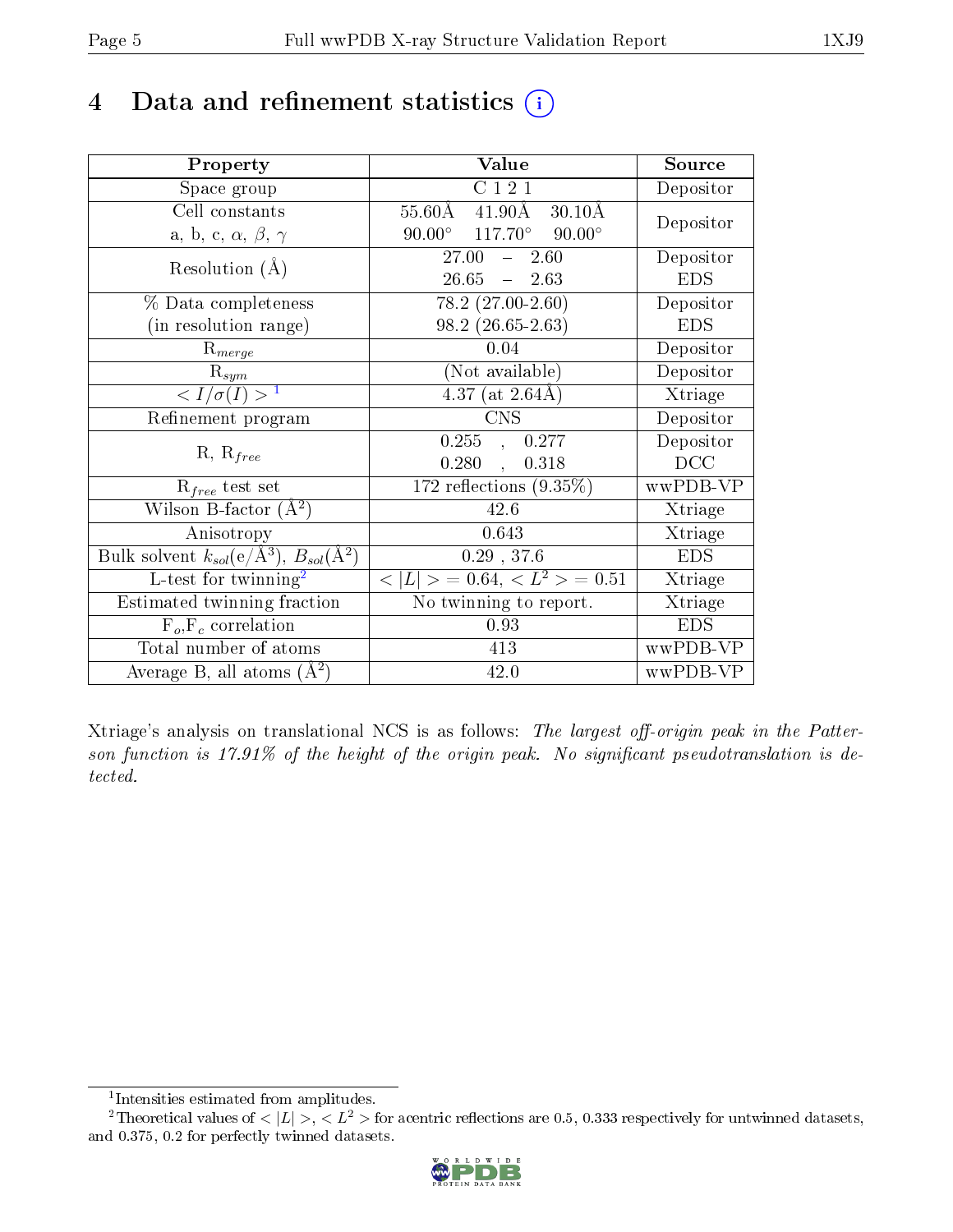# 4 Data and refinement statistics  $(i)$

| Property                                                         | Value                                                       | Source     |
|------------------------------------------------------------------|-------------------------------------------------------------|------------|
| Space group                                                      | C121                                                        | Depositor  |
| Cell constants                                                   | $55.60\text{\AA}$<br>$41.90\text{\AA}$<br>$30.10\text{\AA}$ | Depositor  |
| a, b, c, $\alpha$ , $\beta$ , $\gamma$                           | $90.00^{\circ}$ $117.70^{\circ}$ $90.00^{\circ}$            |            |
| Resolution $(A)$                                                 | $27.00^{-7}$<br>$-2.60$                                     | Depositor  |
|                                                                  | 26.65<br>$-2.63$                                            | <b>EDS</b> |
| % Data completeness                                              | $78.2 (27.00 - 2.60)$                                       | Depositor  |
| (in resolution range)                                            | $98.2(26.65-2.63)$                                          | <b>EDS</b> |
| $R_{merge}$                                                      | 0.04                                                        | Depositor  |
| $\mathrm{R}_{sym}$                                               | (Not available)                                             | Depositor  |
| $\langle I/\sigma(I) \rangle^{-1}$                               | 4.37 (at $2.64\text{\AA}$ )                                 | Xtriage    |
| Refinement program                                               | <b>CNS</b>                                                  | Depositor  |
| $R, R_{free}$                                                    | $\overline{0.255}$ ,<br>0.277                               | Depositor  |
|                                                                  | 0.280,<br>0.318                                             | DCC        |
| $R_{free}$ test set                                              | 172 reflections $(9.35\%)$                                  | wwPDB-VP   |
| Wilson B-factor $(A^2)$                                          | 42.6                                                        | Xtriage    |
| Anisotropy                                                       | 0.643                                                       | Xtriage    |
| Bulk solvent $k_{sol}(\text{e}/\text{A}^3), B_{sol}(\text{A}^2)$ | $0.29$ , 37.6                                               | <b>EDS</b> |
| L-test for $\mathrm{twinning}^2$                                 | $< L >$ = 0.64, $< L2$ > = 0.51                             | Xtriage    |
| Estimated twinning fraction                                      | $\overline{\text{No}}$ twinning to report.                  | Xtriage    |
| $F_o, F_c$ correlation                                           | 0.93                                                        | <b>EDS</b> |
| Total number of atoms                                            | 413                                                         | wwPDB-VP   |
| Average B, all atoms $(A^2)$                                     | 42.0                                                        | wwPDB-VP   |

Xtriage's analysis on translational NCS is as follows: The largest off-origin peak in the Patterson function is  $17.91\%$  of the height of the origin peak. No significant pseudotranslation is detected.

<sup>&</sup>lt;sup>2</sup>Theoretical values of  $\langle |L| \rangle$ ,  $\langle L^2 \rangle$  for acentric reflections are 0.5, 0.333 respectively for untwinned datasets, and 0.375, 0.2 for perfectly twinned datasets.



<span id="page-4-1"></span><span id="page-4-0"></span><sup>1</sup> Intensities estimated from amplitudes.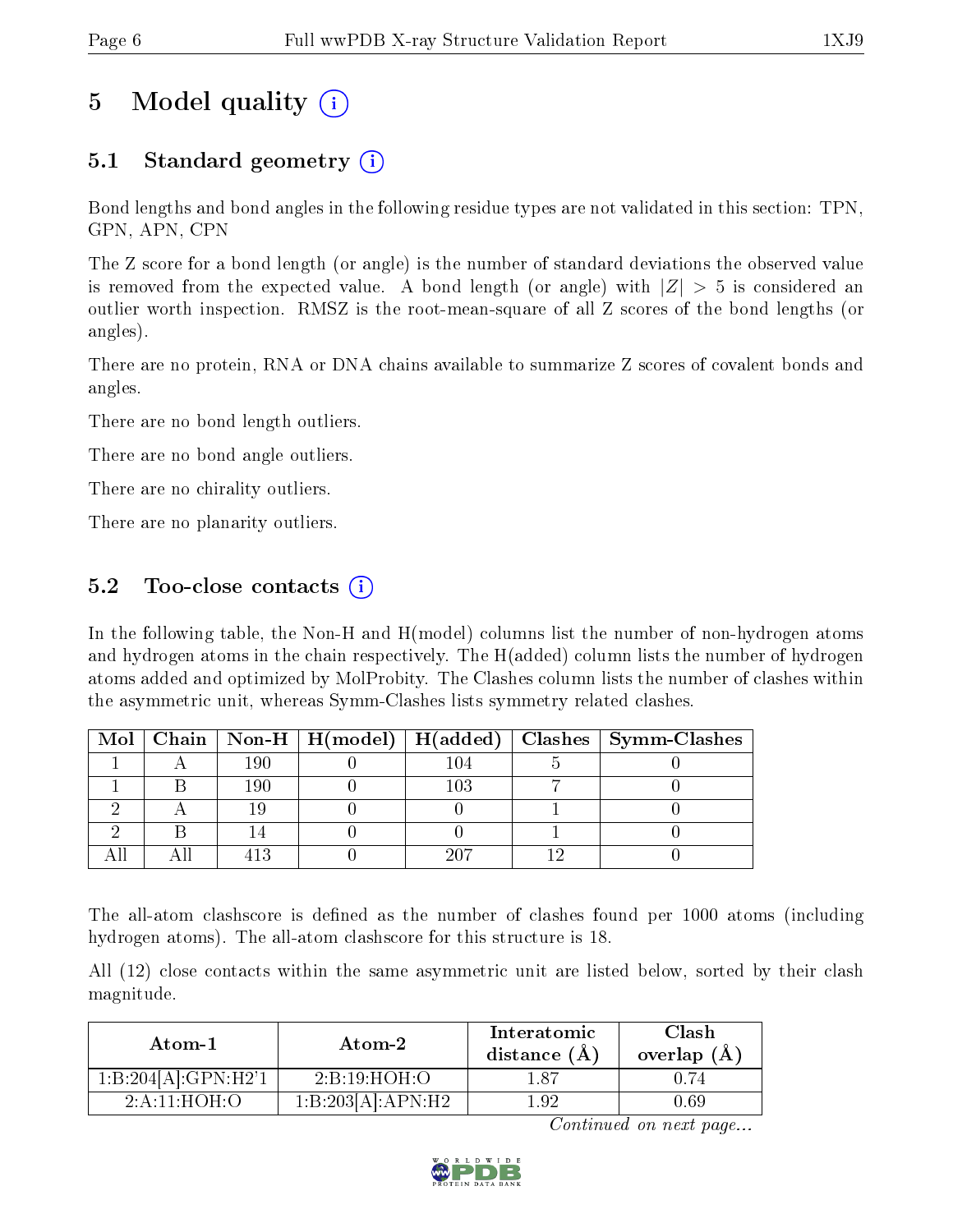# 5 Model quality  $(i)$

## 5.1 Standard geometry (i)

Bond lengths and bond angles in the following residue types are not validated in this section: TPN, GPN, APN, CPN

The Z score for a bond length (or angle) is the number of standard deviations the observed value is removed from the expected value. A bond length (or angle) with  $|Z| > 5$  is considered an outlier worth inspection. RMSZ is the root-mean-square of all Z scores of the bond lengths (or angles).

There are no protein, RNA or DNA chains available to summarize Z scores of covalent bonds and angles.

There are no bond length outliers.

There are no bond angle outliers.

There are no chirality outliers.

There are no planarity outliers.

### $5.2$  Too-close contacts  $(i)$

In the following table, the Non-H and H(model) columns list the number of non-hydrogen atoms and hydrogen atoms in the chain respectively. The H(added) column lists the number of hydrogen atoms added and optimized by MolProbity. The Clashes column lists the number of clashes within the asymmetric unit, whereas Symm-Clashes lists symmetry related clashes.

|  |     |              | Mol   Chain   Non-H   H(model)   H(added)   Clashes   Symm-Clashes |
|--|-----|--------------|--------------------------------------------------------------------|
|  | 190 | 04           |                                                                    |
|  | 190 | $^{\rm 103}$ |                                                                    |
|  |     |              |                                                                    |
|  |     |              |                                                                    |
|  |     |              |                                                                    |

The all-atom clashscore is defined as the number of clashes found per 1000 atoms (including hydrogen atoms). The all-atom clashscore for this structure is 18.

All (12) close contacts within the same asymmetric unit are listed below, sorted by their clash magnitude.

| Atom-1              | Atom-2            | Interatomic<br>distance $(A)$ | Clash<br>overlap $(A)$ |
|---------------------|-------------------|-------------------------------|------------------------|
| 1:B:204[A]:GPN:H2'1 | 2:B:19:HOH:O      |                               |                        |
| $2$ A 11 HOH O      | 1:B:203[A]:APN:H2 | - 92                          | 1.69                   |

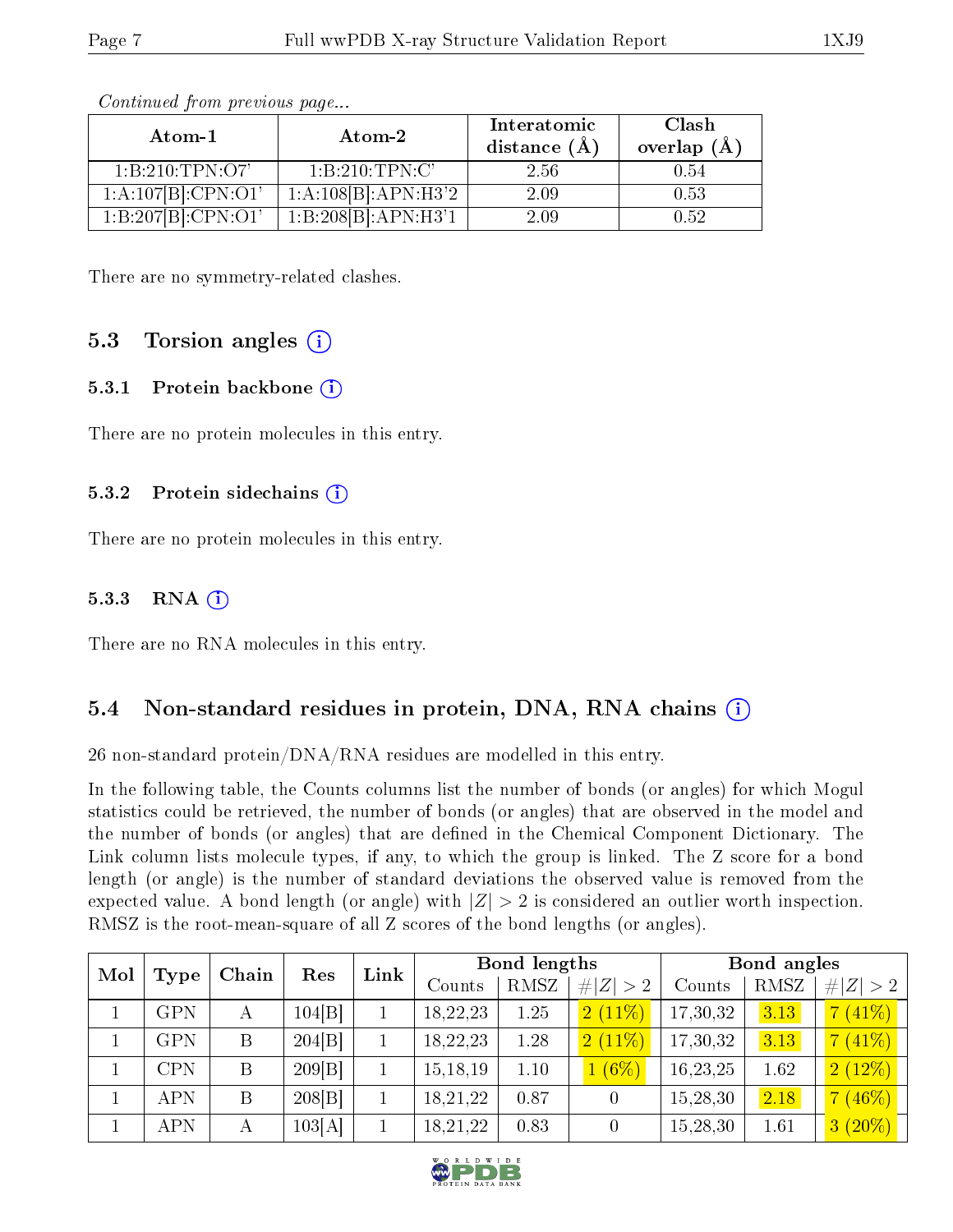| Atom-1              | Atom-2              | Interatomic<br>distance $(\AA)$ | Clash<br>overlap $(A)$ |
|---------------------|---------------------|---------------------------------|------------------------|
| 1: B: 210: TPN: O7' | 1:B:210:TPN:C'      | 2.56                            | 0.54                   |
| 1:A:107[B]:CPN:O1'  | 1:A:108[B]:APN:H3'2 | 2.09                            | 0.53                   |
| 1:B:207[B]:CPN:O1'  | 1:B:208[B]:APN:H3'1 | 2.09                            | 0.52.                  |

There are no symmetry-related clashes.

### 5.3 Torsion angles  $(i)$

#### 5.3.1 Protein backbone (i)

There are no protein molecules in this entry.

#### 5.3.2 Protein sidechains  $(i)$

There are no protein molecules in this entry.

#### 5.3.3 RNA  $(i)$

There are no RNA molecules in this entry.

### 5.4 Non-standard residues in protein, DNA, RNA chains (i)

26 non-standard protein/DNA/RNA residues are modelled in this entry.

In the following table, the Counts columns list the number of bonds (or angles) for which Mogul statistics could be retrieved, the number of bonds (or angles) that are observed in the model and the number of bonds (or angles) that are defined in the Chemical Component Dictionary. The Link column lists molecule types, if any, to which the group is linked. The Z score for a bond length (or angle) is the number of standard deviations the observed value is removed from the expected value. A bond length (or angle) with  $|Z| > 2$  is considered an outlier worth inspection. RMSZ is the root-mean-square of all Z scores of the bond lengths (or angles).

| Mol |             | Chain | Res    | Link | <b>Bond lengths</b> |      |             | Bond angles |      |             |
|-----|-------------|-------|--------|------|---------------------|------|-------------|-------------|------|-------------|
|     | <b>Type</b> |       |        |      | Counts              | RMSZ | # $ Z  > 2$ | Counts      | RMSZ | # $ Z  > 2$ |
|     | <b>GPN</b>  | А     | 104 B  |      | 18,22,23            | 1.25 | 2(11%)      | 17,30,32    | 3.13 | $7(41\%)$   |
|     | <b>GPN</b>  | B     | 204 B  |      | 18,22,23            | 1.28 | $2(11\%)$   | 17,30,32    | 3.13 | $7(41\%)$   |
|     | <b>CPN</b>  | B     | 209 B  |      | 15, 18, 19          | 1.10 | $1(6\%)$    | 16,23,25    | 1.62 | $2(12\%)$   |
|     | <b>APN</b>  | B     | 208 B  |      | 18,21,22            | 0.87 | 0           | 15,28,30    | 2.18 | $7(46\%)$   |
|     | <b>APN</b>  | А     | 103[A] |      | 18,21,22            | 0.83 | 0           | 15,28,30    | 1.61 | $3(20\%)$   |

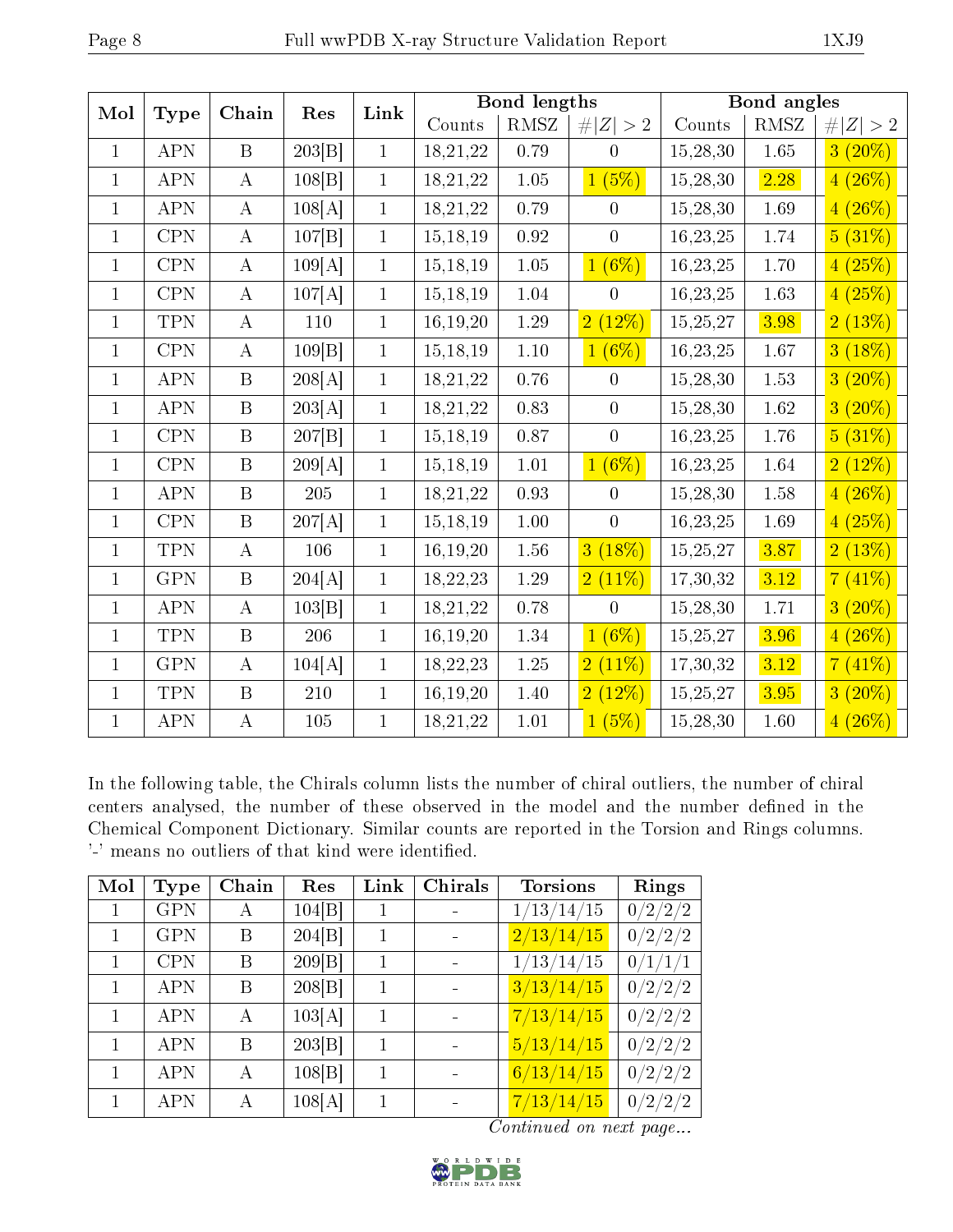| Mol          | <b>Type</b>  | Chain            | Res    | Link         |            | <b>Bond lengths</b> |                  | Bond angles |            |             |
|--------------|--------------|------------------|--------|--------------|------------|---------------------|------------------|-------------|------------|-------------|
|              |              |                  |        |              | Counts     | RMSZ                | # $ Z  > 2$      | Counts      | $\rm RMSZ$ | # $ Z  > 2$ |
| $\mathbf{1}$ | APN          | $\mathbf{B}$     | 203 B  | $\mathbf{1}$ | 18,21,22   | 0.79                | $\theta$         | 15,28,30    | $1.65\,$   | $3(20\%)$   |
| $\mathbf{1}$ | APN          | $\bf{A}$         | 108 B  | $\mathbf{1}$ | 18,21,22   | $1.05\,$            | 1(5%)            | 15,28,30    | 2.28       | $4(26\%)$   |
| $\mathbf{1}$ | APN          | $\bf{A}$         | 108[A] | $\mathbf{1}$ | 18,21,22   | 0.79                | $\overline{0}$   | 15,28,30    | 1.69       | $4(26\%)$   |
| $\mathbf{1}$ | CPN          | $\bf{A}$         | 107 B  | $\mathbf{1}$ | 15, 18, 19 | $\rm 0.92$          | $\overline{0}$   | 16,23,25    | $1.74\,$   | 5(31%)      |
| $\mathbf{1}$ | $\mbox{CPN}$ | $\bf{A}$         | 109[A] | $\mathbf{1}$ | 15, 18, 19 | $1.05\,$            | $1(6\%)$         | 16,23,25    | $1.70\,$   | 4(25%)      |
| $\mathbf{1}$ | $\mbox{CPN}$ | $\bf{A}$         | 107[A] | $\mathbf{1}$ | 15, 18, 19 | 1.04                | $\overline{0}$   | 16,23,25    | $1.63\,$   | 4(25%)      |
| $\mathbf{1}$ | <b>TPN</b>   | $\bf{A}$         | 110    | $\mathbf{1}$ | 16,19,20   | 1.29                | 2(12%)           | 15,25,27    | 3.98       | 2(13%)      |
| $\mathbf{1}$ | CPN          | $\bf{A}$         | 109 B  | $\mathbf{1}$ | 15, 18, 19 | $1.10\,$            | $1(6\%)$         | 16, 23, 25  | $1.67\,$   | 3(18%)      |
| $\mathbf{1}$ | <b>APN</b>   | $\mathbf{B}$     | 208[A] | $\mathbf{1}$ | 18,21,22   | 0.76                | $\overline{0}$   | 15,28,30    | $1.53\,$   | $3(20\%)$   |
| $\mathbf{1}$ | <b>APN</b>   | $\boldsymbol{B}$ | 203[A] | $\mathbf{1}$ | 18,21,22   | 0.83                | $\boldsymbol{0}$ | 15,28,30    | 1.62       | $3(20\%)$   |
| $\mathbf{1}$ | $\mbox{CPN}$ | $\boldsymbol{B}$ | 207 B  | $\mathbf{1}$ | 15, 18, 19 | 0.87                | $\overline{0}$   | 16,23,25    | $1.76\,$   | 5(31%)      |
| $\mathbf{1}$ | $\mbox{CPN}$ | $\boldsymbol{B}$ | 209[A] | $\mathbf{1}$ | 15, 18, 19 | $1.01\,$            | $1(6\%)$         | 16,23,25    | $1.64\,$   | 2(12%)      |
| $\mathbf{1}$ | APN          | $\mathbf{B}$     | 205    | $\mathbf{1}$ | 18,21,22   | $0.93\,$            | $\overline{0}$   | 15,28,30    | $1.58\,$   | $4(26\%)$   |
| $\mathbf{1}$ | CPN          | $\boldsymbol{B}$ | 207[A] | $\mathbf{1}$ | 15, 18, 19 | $1.00\,$            | $\overline{0}$   | 16, 23, 25  | 1.69       | 4(25%)      |
| $\mathbf{1}$ | <b>TPN</b>   | $\bf{A}$         | 106    | $\mathbf{1}$ | 16,19,20   | $1.56\,$            | (18%)<br>3       | 15,25,27    | 3.87       | 2(13%)      |
| $\mathbf{1}$ | <b>GPN</b>   | $\boldsymbol{B}$ | 204[A] | $\mathbf{1}$ | 18,22,23   | $1.29\,$            | $2(11\%)$        | 17,30,32    | 3.12       | 7(41%)      |
| $\mathbf{1}$ | APN          | $\bf{A}$         | 103 B  | $\mathbf{1}$ | 18,21,22   | 0.78                | $\overline{0}$   | 15,28,30    | $1.71\,$   | $3(20\%)$   |
| $\mathbf{1}$ | <b>TPN</b>   | $\boldsymbol{B}$ | 206    | $\mathbf{1}$ | 16,19,20   | $1.34\,$            | $1(6\%)$         | 15,25,27    | 3.96       | $4(26\%)$   |
| $\mathbf{1}$ | <b>GPN</b>   | $\bf{A}$         | 104[A] | $\mathbf{1}$ | 18,22,23   | 1.25                | 2(11%)           | 17,30,32    | 3.12       | 7(41%)      |
| $\mathbf{1}$ | <b>TPN</b>   | $\boldsymbol{B}$ | 210    | $\mathbf{1}$ | 16,19,20   | 1.40                | 2(12%)           | 15,25,27    | 3.95       | $3(20\%)$   |
| $\mathbf{1}$ | APN          | $\bf{A}$         | 105    | $\mathbf{1}$ | 18,21,22   | $1.01\,$            | 1(5%)            | 15,28,30    | $1.60\,$   | 4(26%)      |

In the following table, the Chirals column lists the number of chiral outliers, the number of chiral centers analysed, the number of these observed in the model and the number defined in the Chemical Component Dictionary. Similar counts are reported in the Torsion and Rings columns. '-' means no outliers of that kind were identified.

| Mol | Type       | Chain | Res    | Link         | Chirals | <b>Torsions</b>         | Rings   |
|-----|------------|-------|--------|--------------|---------|-------------------------|---------|
|     | <b>GPN</b> | А     | 104 B  |              |         | $1/13/14/\overline{15}$ | 0/2/2/2 |
|     | <b>GPN</b> | B     | 204 B  | 1            |         | 2/13/14/15              | 0/2/2/2 |
|     | <b>CPN</b> | B     | 209 B  | 1            |         | 1/13/14/15              | 0/1/1/1 |
|     | <b>APN</b> | B     | 208 B  | 1            |         | 3/13/14/15              | 0/2/2/2 |
|     | <b>APN</b> | А     | 103[A] | 1            |         | 7/13/14/15              | 0/2/2/2 |
|     | <b>APN</b> | B     | 203 B  | 1            |         | 5/13/14/15              | 0/2/2/2 |
|     | <b>APN</b> | А     | 108 B  | 1            |         | 6/13/14/15              | 0/2/2/2 |
|     | <b>APN</b> | A     | 108[A] | $\mathbf{1}$ |         | 7/13/14/15              | 0/2/2/2 |

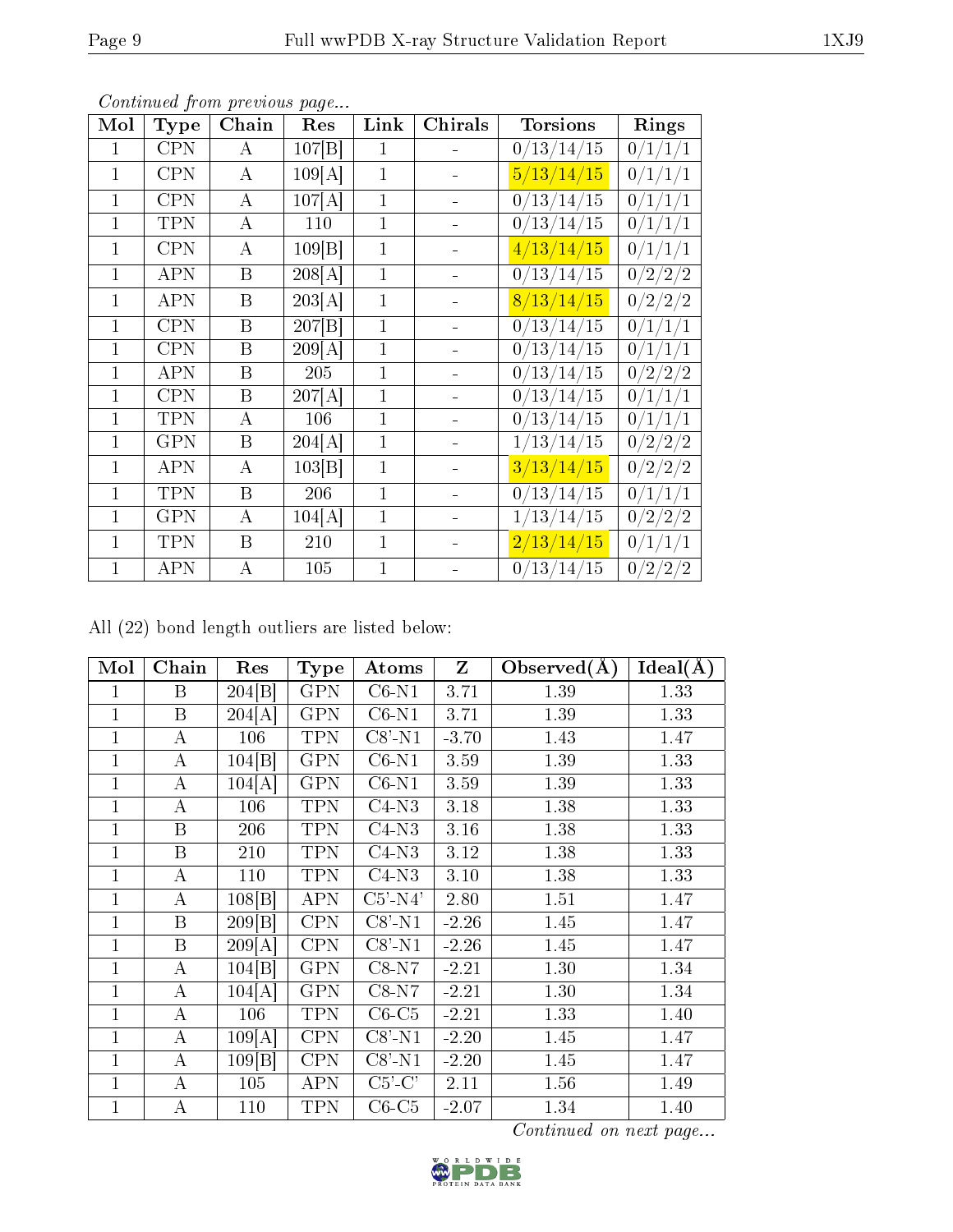| Mol          | $_{\rm Type}$ | Chain            | Res                 | Link         | Chirals | <b>Torsions</b>              | Rings              |
|--------------|---------------|------------------|---------------------|--------------|---------|------------------------------|--------------------|
| 1            | <b>CPN</b>    | A                | 107 B               | $\mathbf{1}$ |         | 0/13/14/15                   | 0/1/1/1            |
| $\mathbf{1}$ | <b>CPN</b>    | А                | 109[A]              | $\mathbf{1}$ |         | 5/13/14/15                   | 0/1/1/1            |
| $\mathbf{1}$ | <b>CPN</b>    | Α                | 107[A]              | $\mathbf{1}$ |         | $\frac{0}{13}/\frac{14}{15}$ | 0/1/1/1            |
| $\mathbf{1}$ | <b>TPN</b>    | Α                | 110                 | 1            |         | 0/13/14/15                   | 0/1/1/1            |
| $\mathbf{1}$ | <b>CPN</b>    | А                | 109 B               | $\mathbf{1}$ |         | 4/13/14/15                   | 0/1/1/1            |
| $\mathbf{1}$ | APN           | B                | 208[A]              | $\mathbf{1}$ |         | 0/13/14/15                   | 0/2/2/2            |
| 1            | APN           | Β                | 203[A]              | $\mathbf{1}$ |         | 8/13/14/15                   | 0/2/2/2            |
| 1            | <b>CPN</b>    | Β                | $\overline{207 B }$ | $\mathbf 1$  |         | 0/13/14/15                   | 0/1/1/1            |
| $\mathbf{1}$ | <b>CPN</b>    | $\mathbf B$      | 209[A]              | $\mathbf 1$  |         | 0/13/14/15                   | 0/1/1/1            |
| $\mathbf{1}$ | <b>APN</b>    | B                | 205                 | $\mathbf{1}$ |         | 0/13/14/15                   | 0/2/2/2            |
| $\mathbf{1}$ | <b>CPN</b>    | B                | 207[A]              | $\mathbf{1}$ |         | 0/13/14/15                   | 0/1/1/1            |
| 1            | TPN           | А                | 106                 | 1            |         | 0/13/14/15                   | 0/1/1/1            |
| $\mathbf{1}$ | <b>GPN</b>    | Β                | 204[A]              | 1            |         | 1/13/14/15                   | 0/2/2/2            |
| $\mathbf{1}$ | APN           | А                | 103 B               | $\mathbf{1}$ |         | 3/13/14/15                   | 0/2/2/2            |
| 1            | <b>TPN</b>    | B                | 206                 | $\mathbf 1$  |         | $\frac{0}{13}/\frac{14}{15}$ | $\frac{0}{1}{1/1}$ |
| $\mathbf{1}$ | <b>GPN</b>    | А                | 104[A]              | $\mathbf{1}$ |         | 1/13/14/15                   | 0/2/2/2            |
| $\mathbf{1}$ | TPN           | B                | 210                 | $\mathbf 1$  |         | 2/13/14/15                   | 0/1/1/1            |
| $\mathbf{1}$ | <b>APN</b>    | $\boldsymbol{A}$ | 105                 | 1            |         | 0/13/14/15                   | 0/2/2/2            |

All (22) bond length outliers are listed below:

| Mol            | Chain            | Res                | Type                    | Atoms      | $\mathbf{Z}$ | Observed $(A)$ | Ideal(A) |
|----------------|------------------|--------------------|-------------------------|------------|--------------|----------------|----------|
| 1              | $\mathbf B$      | 204 <sup>[B]</sup> | $\overline{\text{GPN}}$ | $C6-N1$    | 3.71         | 1.39           | 1.33     |
| $\mathbf{1}$   | $\boldsymbol{B}$ | 204[A]             | <b>GPN</b>              | $C6-N1$    | 3.71         | 1.39           | 1.33     |
| 1              | А                | 106                | <b>TPN</b>              | $C8'$ -N1  | $-3.70$      | 1.43           | 1.47     |
| 1              | $\boldsymbol{A}$ | 104[B]             | <b>GPN</b>              | $C6-N1$    | 3.59         | 1.39           | 1.33     |
| 1              | $\boldsymbol{A}$ | 104[A]             | <b>GPN</b>              | $C6-N1$    | 3.59         | 1.39           | 1.33     |
| $\mathbf 1$    | А                | 106                | <b>TPN</b>              | $C4-N3$    | 3.18         | 1.38           | 1.33     |
| $\overline{1}$ | $\boldsymbol{B}$ | 206                | <b>TPN</b>              | $C4-N3$    | 3.16         | 1.38           | 1.33     |
| 1              | $\boldsymbol{B}$ | 210                | <b>TPN</b>              | $C4-N3$    | 3.12         | 1.38           | 1.33     |
| 1              | А                | 110                | <b>TPN</b>              | $C4-N3$    | 3.10         | 1.38           | 1.33     |
| $\overline{1}$ | $\bf{A}$         | 108 B              | <b>APN</b>              | $C5'$ -N4' | 2.80         | 1.51           | 1.47     |
| $\mathbf 1$    | $\, {\bf B}$     | 209 B              | <b>CPN</b>              | $C8'$ -N1  | $-2.26$      | 1.45           | 1.47     |
| $\mathbf{1}$   | $\boldsymbol{B}$ | 209[A]             | <b>CPN</b>              | $C8'$ -N1  | $-2.26$      | 1.45           | 1.47     |
| $\overline{1}$ | $\bf{A}$         | 104 B              | <b>GPN</b>              | $C8-N7$    | $-2.21$      | 1.30           | 1.34     |
| $\mathbf{1}$   | A                | 104[A]             | <b>GPN</b>              | $C8-N7$    | $-2.21$      | 1.30           | 1.34     |
| $\mathbf{1}$   | $\bf{A}$         | 106                | <b>TPN</b>              | $C6-C5$    | $-2.21$      | 1.33           | 1.40     |
| 1              | $\boldsymbol{A}$ | 109[A]             | <b>CPN</b>              | $C8'$ -N1  | $-2.20$      | 1.45           | 1.47     |
| 1              | А                | 109 B              | <b>CPN</b>              | $C8'$ -N1  | $-2.20$      | 1.45           | 1.47     |
| $\mathbf 1$    | А                | 105                | <b>APN</b>              | $C5'-C'$   | 2.11         | 1.56           | 1.49     |
| 1              | А                | 110                | <b>TPN</b>              | $C6-C5$    | $-2.07$      | 1.34           | 1.40     |

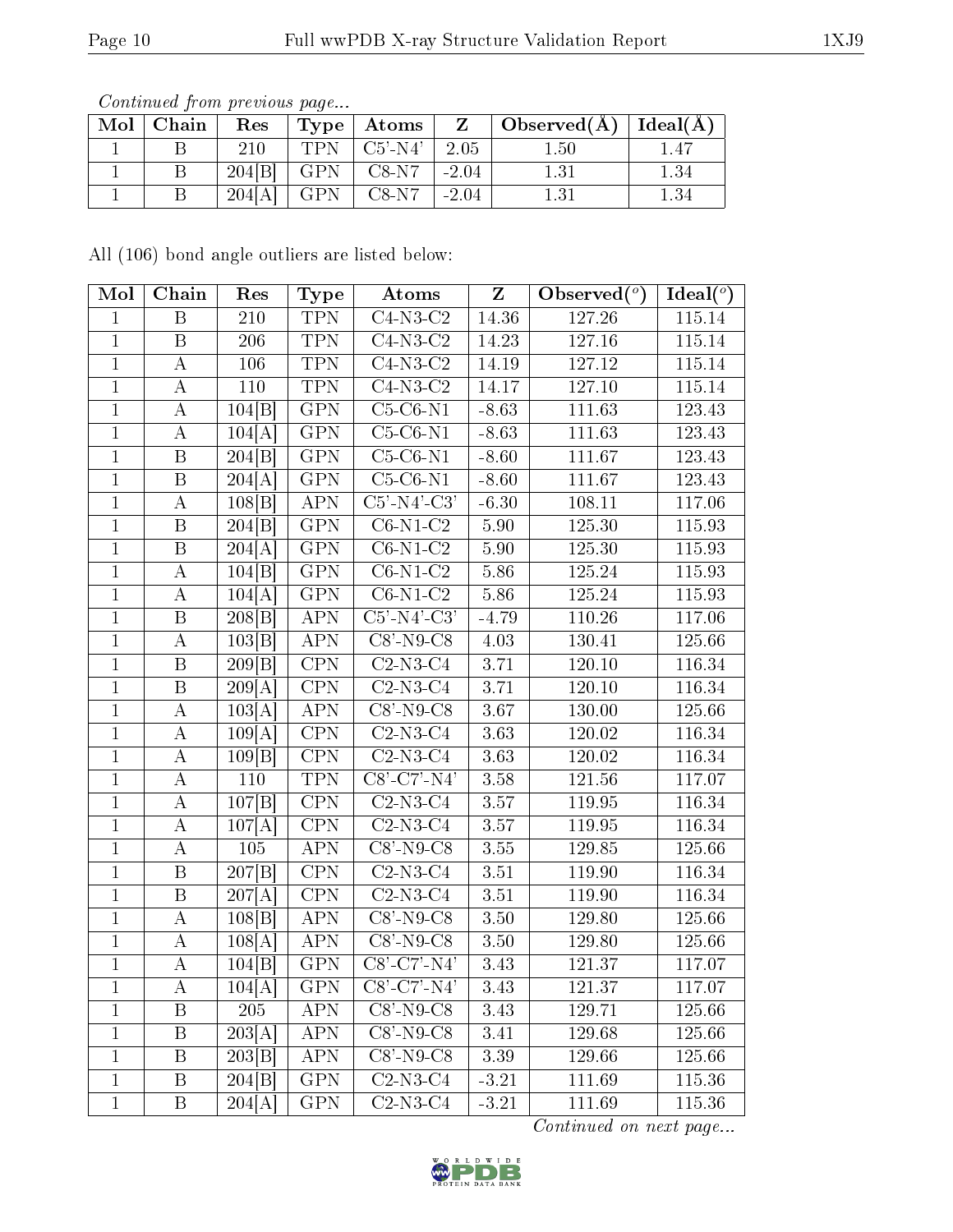| $\text{Mol} \mid \text{Chain}$ | Res    |     | $Type  $ Atoms $ $             |         | $\mid$ Observed( $\AA$ ) $\mid$ Ideal( $\AA$ ) |      |
|--------------------------------|--------|-----|--------------------------------|---------|------------------------------------------------|------|
|                                | 210    |     | TPN $\mid$ C5'-N4' $\mid$ 2.05 |         | $1.50\,$                                       |      |
|                                | 204[B] |     | GPN   C8-N7                    | $-2.04$ |                                                | 1.34 |
|                                | 204[A] | GPN | $\sqrt{C8-N7}$ -2.04           |         |                                                |      |

All (106) bond angle outliers are listed below:

| Mol            | Chain            | Res                  | <b>Type</b>      | Atoms                        | $\mathbf{Z}$ | Observed $(°)$ | Ideal $(°)$         |
|----------------|------------------|----------------------|------------------|------------------------------|--------------|----------------|---------------------|
| $\mathbf{1}$   | $\boldsymbol{B}$ | 210                  | <b>TPN</b>       | $C4-N3-C2$                   | 14.36        | 127.26         | 115.14              |
| $\mathbf{1}$   | B                | 206                  | <b>TPN</b>       | $C4-N3-C2$                   | 14.23        | 127.16         | 115.14              |
| $\mathbf{1}$   | $\bf{A}$         | 106                  | <b>TPN</b>       | $C4-N3-C2$                   | 14.19        | 127.12         | 115.14              |
| $\mathbf{1}$   | $\bf{A}$         | 110                  | <b>TPN</b>       | $\overline{C}$ 4-N3-C2       | 14.17        | 127.10         | 115.14              |
| $\mathbf{1}$   | $\bf{A}$         | 104 B                | <b>GPN</b>       | $C5-C6-N1$                   | $-8.63$      | 111.63         | 123.43              |
| $\mathbf{1}$   | $\bf{A}$         | 104[A]               | <b>GPN</b>       | $C5-C6-N1$                   | $-8.63$      | 111.63         | 123.43              |
| $\mathbf{1}$   | $\, {\bf B}$     | 204 B                | <b>GPN</b>       | $C5-C6-N1$                   | $-8.60$      | 111.67         | 123.43              |
| $\mathbf{1}$   | $\boldsymbol{B}$ | 204[A]               | <b>GPN</b>       | $C5-C6-N1$                   | $-8.60$      | 111.67         | 123.43              |
| $\mathbf{1}$   | $\bf{A}$         | 108[B]               | <b>APN</b>       | $C5'$ -N4'-C3'               | $-6.30$      | 108.11         | 117.06              |
| $\overline{1}$ | $\boldsymbol{B}$ | 204 B                | <b>GPN</b>       | $C6-N1-C2$                   | 5.90         | 125.30         | 115.93              |
| $\mathbf{1}$   | $\boldsymbol{B}$ | 204[A]               | <b>GPN</b>       | $C6-N1-C2$                   | 5.90         | 125.30         | 115.93              |
| $\mathbf{1}$   | $\bf{A}$         | 104 B                | <b>GPN</b>       | $C6-N1-C2$                   | 5.86         | 125.24         | 115.93              |
| $\mathbf{1}$   | $\bf{A}$         | 104[A]               | <b>GPN</b>       | $C6-N1-C2$                   | 5.86         | 125.24         | 115.93              |
| $\overline{1}$ | $\boldsymbol{B}$ | 208 B                | <b>APN</b>       | $C5'$ -N $\overline{4'$ -C3' | $-4.79$      | 110.26         | 117.06              |
| $\mathbf{1}$   | $\bf{A}$         | 103 B                | <b>APN</b>       | $C8'$ -N9- $C8$              | 4.03         | 130.41         | 125.66              |
| $\mathbf{1}$   | B                | 209 B                | <b>CPN</b>       | $C2-N3-C4$                   | 3.71         | 120.10         | 116.34              |
| $\mathbf{1}$   | $\boldsymbol{B}$ | 209[A]               | <b>CPN</b>       | $C2-N3-C4$                   | 3.71         | 120.10         | 116.34              |
| $\mathbf{1}$   | $\bf{A}$         | 103[A]               | <b>APN</b>       | $C8'$ -N9- $C8$              | 3.67         | 130.00         | 125.66              |
| $\mathbf{1}$   | $\bf{A}$         | 109[A]               | <b>CPN</b>       | $C2-N3-C4$                   | 3.63         | 120.02         | 116.34              |
| $\overline{1}$ | $\overline{A}$   | $\overline{109}$ [B] | $\overline{CPN}$ | $C2-N3-C4$                   | 3.63         | 120.02         | 116.34              |
| $\mathbf{1}$   | $\boldsymbol{A}$ | 110                  | <b>TPN</b>       | $C8'-C7'-N4'$                | 3.58         | 121.56         | 117.07              |
| $\mathbf{1}$   | $\bf{A}$         | 107 B                | $\overline{CPN}$ | $C2-N3-C4$                   | 3.57         | 119.95         | 116.34              |
| $\mathbf{1}$   | $\boldsymbol{A}$ | 107[A]               | <b>CPN</b>       | $C2-N3-C4$                   | 3.57         | 119.95         | $116.\overline{34}$ |
| $\mathbf{1}$   | $\bf{A}$         | 105                  | APN              | $C8'$ -N9- $C8$              | 3.55         | 129.85         | 125.66              |
| $\mathbf{1}$   | $\, {\bf B}$     | 207 B                | <b>CPN</b>       | $C2-N3-C4$                   | 3.51         | 119.90         | 116.34              |
| $\mathbf{1}$   | $\, {\bf B}$     | 207[A]               | CPN              | $C2-N3-C4$                   | 3.51         | 119.90         | 116.34              |
| $\mathbf{1}$   | $\bf{A}$         | 108 B                | <b>APN</b>       | $C8'$ -N9- $C8$              | 3.50         | 129.80         | 125.66              |
| $\mathbf{1}$   | $\bf{A}$         | $\overline{108}$ [A] | <b>APN</b>       | $C8'$ -N9- $C8$              | 3.50         | 129.80         | 125.66              |
| $\mathbf{1}$   | $\bf{A}$         | 104 B                | <b>GPN</b>       | $C8'$ -C7'-N4'               | 3.43         | 121.37         | 117.07              |
| 1              | A                | 104[A]               | <b>GPN</b>       | $C8' - C7' - N4'$            | 3.43         | 121.37         | 117.07              |
| 1              | B                | 205                  | <b>APN</b>       | $C8'$ -N9- $C8$              | 3.43         | 129.71         | 125.66              |
| $\mathbf{1}$   | B                | 203[A]               | <b>APN</b>       | $C8'-N9-C8$                  | 3.41         | 129.68         | 125.66              |
| $\mathbf{1}$   | B                | 203 B                | <b>APN</b>       | $C8'$ -N9- $C8$              | 3.39         | 129.66         | 125.66              |
| $\mathbf{1}$   | $\mathbf{B}$     | 204 B                | <b>GPN</b>       | $C2-N3-C4$                   | $-3.21$      | 111.69         | 115.36              |
| $\mathbf{1}$   | B                | 204[A]               | <b>GPN</b>       | $C2-N3-C4$                   | $-3.21$      | 111.69         | 115.36              |

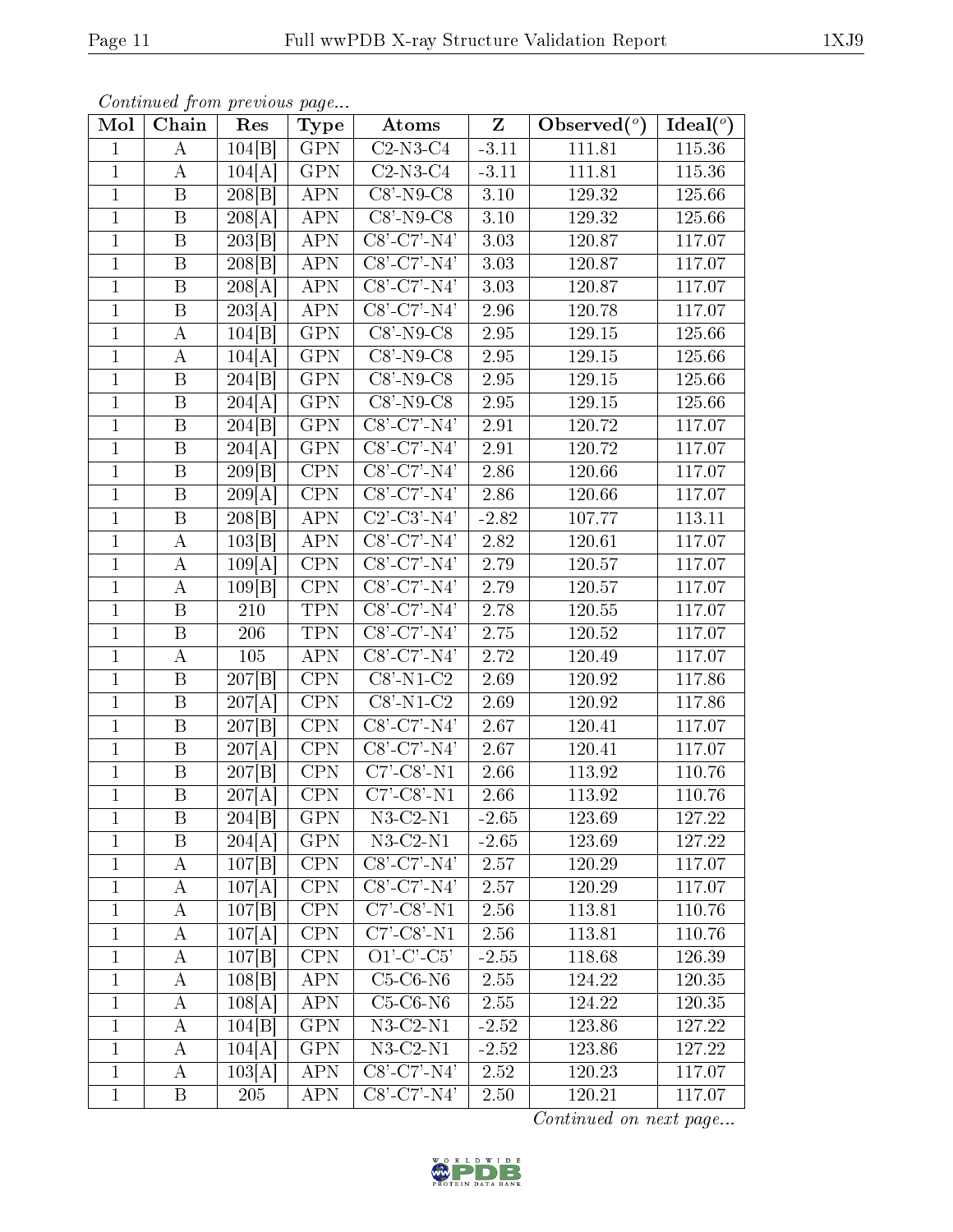| Mol            | Chain                   | Res                  | Type                    | Atoms                   | $\overline{\mathrm{z}}$ | Observed $(°)$ | Ideal $(°)$ |
|----------------|-------------------------|----------------------|-------------------------|-------------------------|-------------------------|----------------|-------------|
| $\mathbf{1}$   | А                       | 104 B                | <b>GPN</b>              | $C2-N3-C4$              | $-3.11$                 | 111.81         | 115.36      |
| $\mathbf{1}$   | А                       | 104[A]               | <b>GPN</b>              | $C2-N3-C4$              | $-3.11$                 | 111.81         | 115.36      |
| $\overline{1}$ | $\overline{\mathbf{B}}$ | 208 B                | <b>APN</b>              | $C8 - N9 - C8$          | 3.10                    | 129.32         | 125.66      |
| $\mathbf 1$    | $\boldsymbol{B}$        | 208[A]               | <b>APN</b>              | $C8'$ -N9- $C8$         | 3.10                    | 129.32         | 125.66      |
| $\mathbf{1}$   | $\, {\bf B}$            | 203 B                | <b>APN</b>              | $C8'$ -C7'-N4'          | 3.03                    | 120.87         | 117.07      |
| $\mathbf{1}$   | B                       | 208 B                | <b>APN</b>              | $C8'$ - $C7'$ - $N4'$   | 3.03                    | 120.87         | 117.07      |
| $\overline{1}$ | $\boldsymbol{B}$        | $\overline{2}08[A]$  | <b>APN</b>              | $C8'$ -C7'-N4'          | 3.03                    | 120.87         | 117.07      |
| $\mathbf{1}$   | B                       | $\overline{20}3[A]$  | <b>APN</b>              | C8'-C7'-N4'             | 2.96                    | 120.78         | 117.07      |
| $\mathbf{1}$   | $\bf{A}$                | 104[B]               | <b>GPN</b>              | $C8'$ -N9- $C8$         | 2.95                    | 129.15         | 125.66      |
| $\mathbf{1}$   | A                       | 104[A]               | <b>GPN</b>              | $C8'-N9-C8$             | $2.95\,$                | 129.15         | 125.66      |
| $\mathbf{1}$   | B                       | 204[B]               | <b>GPN</b>              | $C8'$ -N9- $C8$         | 2.95                    | 129.15         | 125.66      |
| $\mathbf{1}$   | $\, {\bf B}$            | 204[A]               | <b>GPN</b>              | $C8'$ -N9- $C8$         | 2.95                    | 129.15         | 125.66      |
| $\mathbf 1$    | $\boldsymbol{B}$        | 204[B]               | <b>GPN</b>              | $C8'$ -C7'-N4'          | 2.91                    | 120.72         | 117.07      |
| $\mathbf 1$    | $\boldsymbol{B}$        | 204[A]               | <b>GPN</b>              | $C8'$ -C7'-N4'          | 2.91                    | 120.72         | 117.07      |
| $\mathbf{1}$   | B                       | 209 B                | <b>CPN</b>              | $C8'$ - $C7'$ - $N4'$   | 2.86                    | 120.66         | 117.07      |
| $\mathbf{1}$   | $\, {\bf B}$            | 209[A]               | <b>CPN</b>              | $C8'$ - $C7'$ - $N4'$   | 2.86                    | 120.66         | 117.07      |
| $\mathbf{1}$   | $\, {\bf B}$            | 208 B                | <b>APN</b>              | $\overline{C2'-C3'-N4}$ | $-2.82$                 | 107.77         | 113.11      |
| $\mathbf 1$    | $\bf{A}$                | 103 B                | ${\rm APN}$             | $C8' - C7' - N4'$       | 2.82                    | 120.61         | 117.07      |
| $\mathbf{1}$   | $\boldsymbol{A}$        | 109[A]               | <b>CPN</b>              | C8'-C7'-N4'             | 2.79                    | 120.57         | 117.07      |
| $\overline{1}$ | А                       | 109 B                | CPN                     | $C8' - C7' - N4'$       | 2.79                    | 120.57         | 117.07      |
| $\mathbf 1$    | B                       | 210                  | <b>TPN</b>              | $C8'$ -C7'-N4'          | 2.78                    | 120.55         | 117.07      |
| $\overline{1}$ | $\overline{\mathrm{B}}$ | 206                  | <b>TPN</b>              | $C8 - C7 - N4'$         | $2.75\,$                | 120.52         | 117.07      |
| $\mathbf 1$    | $\boldsymbol{A}$        | $105\,$              | <b>APN</b>              | $C8'$ - $C7'$ - $N4'$   | 2.72                    | 120.49         | 117.07      |
| $\mathbf{1}$   | $\boldsymbol{B}$        | 207 B                | $\overline{\text{CPN}}$ | $C8'$ -N1- $C2$         | 2.69                    | 120.92         | 117.86      |
| $\mathbf{1}$   | B                       | 207[A]               | <b>CPN</b>              | $C8'$ -N1- $C2$         | 2.69                    | 120.92         | 117.86      |
| $\mathbf{1}$   | $\, {\bf B}$            | 207 B                | <b>CPN</b>              | $C8' - C7' - N4'$       | 2.67                    | 120.41         | 117.07      |
| $\mathbf{1}$   | B                       | $\overline{2}07$ [A] | $\overline{\text{CPN}}$ | $C8'-C7'-N4'$           | 2.67                    | 120.41         | 117.07      |
| $\mathbf{1}$   | $\, {\bf B}$            | 207[B]               | <b>CPN</b>              | $C7'-C8'-N1$            | 2.66                    | 113.92         | 110.76      |
| $\mathbf{1}$   | $\, {\bf B}$            | 207[A]               | <b>CPN</b>              | $C7'-C8'-N1$            | 2.66                    | 113.92         | 110.76      |
| 1              | B                       | 204 B                | <b>GPN</b>              | $N3-C2-N1$              | $-2.65$                 | 123.69         | 127.22      |
| $\mathbf{1}$   | B                       | 204[A]               | <b>GPN</b>              | $N3$ -C2- $N1$          | $-2.65$                 | 123.69         | 127.22      |
| 1              | А                       | 107[B]               | <b>CPN</b>              | $C8'$ -C7'-N4'          | 2.57                    | 120.29         | 117.07      |
| $\mathbf{1}$   | A                       | 107[A]               | <b>CPN</b>              | $C8'-C7'-N4'$           | 2.57                    | 120.29         | 117.07      |
| $\mathbf{1}$   | A                       | 107 B                | <b>CPN</b>              | $C7'-C8'-N1$            | 2.56                    | 113.81         | 110.76      |
| $\mathbf{1}$   | А                       | 107[A]               | <b>CPN</b>              | $C7'$ - $C8'$ - $N1$    | 2.56                    | 113.81         | 110.76      |
| $\mathbf{1}$   | A                       | 107 B                | <b>CPN</b>              | $O1'-C'-C5'$            | $-2.55$                 | 118.68         | 126.39      |
| $\mathbf{1}$   | A                       | 108 B                | <b>APN</b>              | $C5-C6-N6$              | 2.55                    | 124.22         | 120.35      |
| 1              | А                       | 108[A]               | <b>APN</b>              | $C5-C6-N6$              | 2.55                    | 124.22         | 120.35      |
| $\mathbf{1}$   | A                       | $\overline{1}04 B $  | <b>GPN</b>              | $N3$ -C2- $N1$          | $-2.52$                 | 123.86         | 127.22      |
| $\mathbf{1}$   | A                       | 104[A]               | <b>GPN</b>              | $N3$ -C2- $N1$          | $-2.52$                 | 123.86         | 127.22      |
| $\mathbf{1}$   | A                       | 103[A]               | <b>APN</b>              | $C8'$ -C7'-N4'          | 2.52                    | 120.23         | 117.07      |
| $\mathbf{1}$   | B                       | 205                  | <b>APN</b>              | $C8'$ - $C7'$ - $N4'$   | 2.50                    | 120.21         | 117.07      |

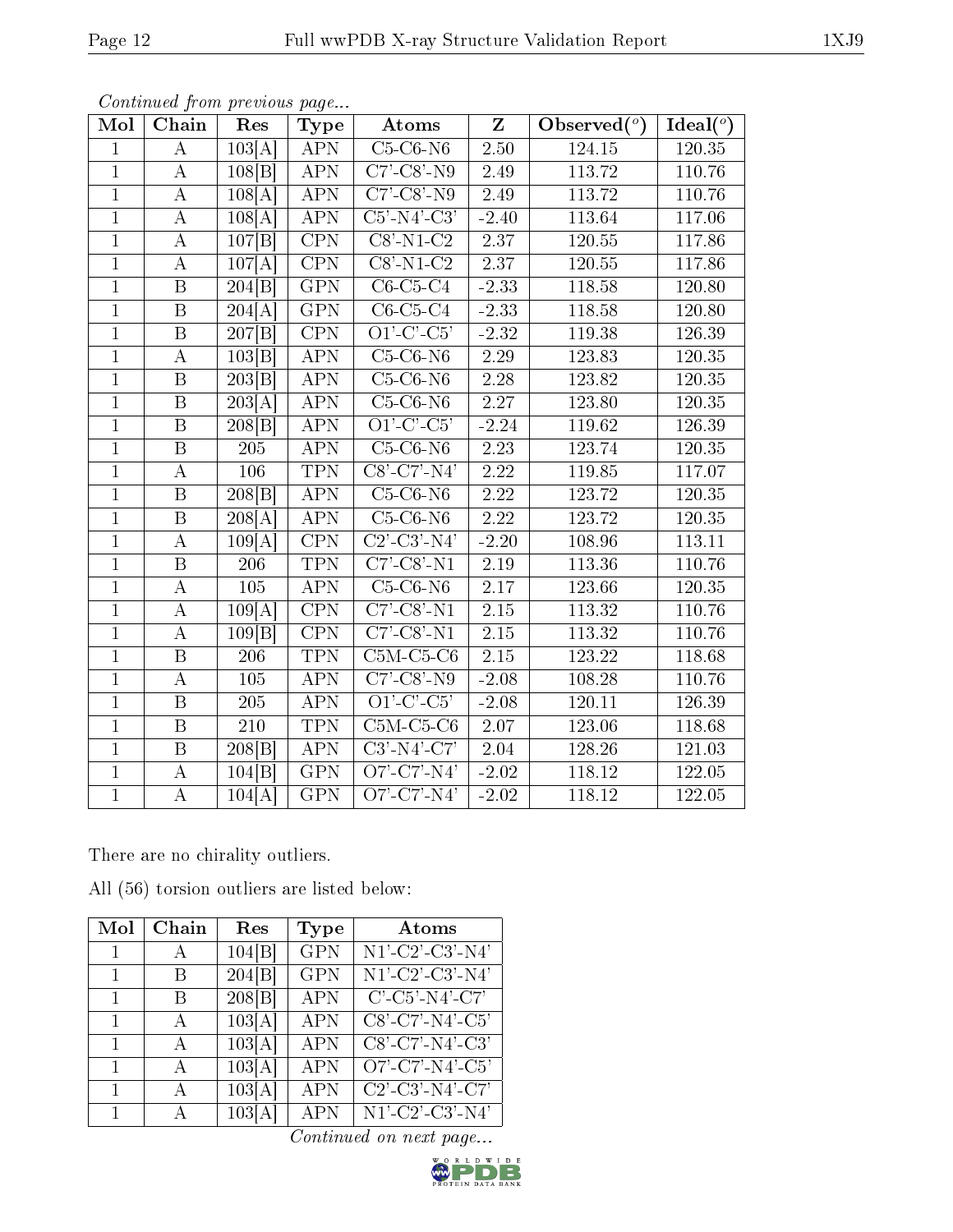| Mol            | Chain                   | Res                  | <b>Type</b>             | Atoms                                                                | $\mathbf{Z}$      | Observed $(°)$ | $Ideal(^o)$         |
|----------------|-------------------------|----------------------|-------------------------|----------------------------------------------------------------------|-------------------|----------------|---------------------|
| $\mathbf{1}$   | A                       | $\overline{103}$ [A] | <b>APN</b>              | $C5-C6-N6$                                                           | 2.50              | 124.15         | 120.35              |
| $\overline{1}$ | А                       | 108 B                | <b>APN</b>              | $\overline{C7'-C8'-N9}$                                              | 2.49              | 113.72         | 110.76              |
| $\overline{1}$ | А                       | 108[A]               | <b>APN</b>              | $C7$ <sup>-</sup> $C8$ <sup><math>\cdot</math></sup> -N9             | 2.49              | 113.72         | 110.76              |
| $\overline{1}$ | A                       | 108[A]               | APN                     | $C5'$ -N4'-C3'                                                       | $-2.40$           | 113.64         | 117.06              |
| $\mathbf{1}$   | А                       | 107 B                | $\overline{CPN}$        | $\overline{\text{C8'-N1-C2}}$                                        | 2.37              | 120.55         | 117.86              |
| $\mathbf{1}$   | А                       | 107[A]               | CPN                     | $C8'$ -N1- $C2$                                                      | 2.37              | 120.55         | 117.86              |
| $\mathbf{1}$   | $\boldsymbol{B}$        | 204 B                | <b>GPN</b>              | $\overline{C}$ 6-C5-C4                                               | $-2.33$           | 118.58         | 120.80              |
| $\overline{1}$ | $\, {\bf B}$            | $\overline{204}$ [A] | <b>GPN</b>              | $C6-C5-C4$                                                           | $-2.33$           | 118.58         | 120.80              |
| $\mathbf{1}$   | B                       | 207 B                | CPN                     | $O1'-C'-C5'$                                                         | $-2.32$           | 119.38         | 126.39              |
| $\overline{1}$ | $\boldsymbol{A}$        | 103 B                | <b>APN</b>              | $C5-C6-N6$                                                           | $\overline{2.29}$ | 123.83         | 120.35              |
| $\mathbf{1}$   | $\boldsymbol{B}$        | 203 B                | <b>APN</b>              | $C5-C6-N6$                                                           | 2.28              | 123.82         | 120.35              |
| $\overline{1}$ | $\overline{\mathrm{B}}$ | $\overline{203}$ [A] | <b>APN</b>              | $C5-C6-N6$                                                           | $\overline{2.27}$ | 123.80         | $120.\overline{35}$ |
| $\overline{1}$ | $\, {\bf B}$            | 208 B                | <b>APN</b>              | $O1'-C'-C5'$                                                         | $-2.24$           | 119.62         | 126.39              |
| $\overline{1}$ | $\, {\bf B}$            | $205\,$              | <b>APN</b>              | $C5-C6-N6$                                                           | 2.23              | 123.74         | 120.35              |
| $\overline{1}$ | $\overline{\rm A}$      | 106                  | <b>TPN</b>              | $CS'$ -C7'-N4'                                                       | 2.22              | 119.85         | 117.07              |
| $\overline{1}$ | $\overline{B}$          | 208 B                | APN                     | $C5-C6-N6$                                                           | 2.22              | 123.72         | 120.35              |
| $\overline{1}$ | $\overline{\mathbf{B}}$ | $\overline{208[A]}$  | <b>APN</b>              | $C5-C6-N6$                                                           | 2.22              | 123.72         | 120.35              |
| $\overline{1}$ | $\boldsymbol{A}$        | 109[A]               | CPN                     | $C2'$ - $C3'$ - $N4'$                                                | $-2.20$           | 108.96         | 113.11              |
| $\mathbf{1}$   | B                       | 206                  | <b>TPN</b>              | $C7'-C8'-N1$                                                         | 2.19              | 113.36         | 110.76              |
| $\overline{1}$ | $\overline{A}$          | 105                  | <b>APN</b>              | $C5-C6-N6$                                                           | $\overline{2.17}$ | 123.66         | 120.35              |
| $\overline{1}$ | $\boldsymbol{A}$        | 109[A]               | <b>CPN</b>              | $C7'-C8'-N1$                                                         | 2.15              | 113.32         | 110.76              |
| $\overline{1}$ | $\boldsymbol{A}$        | 109 B                | $\overline{\text{CPN}}$ | $C7$ <sup>-</sup> $C8$ <sup><math>\cdot</math></sup> -N <sub>1</sub> | $\overline{2.15}$ | 113.32         | 110.76              |
| $\overline{1}$ | $\, {\bf B}$            | 206                  | <b>TPN</b>              | $\overline{\text{C5M-C5-C6}}$                                        | 2.15              | 123.22         | 118.68              |
| $\overline{1}$ | $\boldsymbol{A}$        | 105                  | <b>APN</b>              | $C7'-C8'-N9$                                                         | $-2.08$           | 108.28         | 110.76              |
| $\mathbf{1}$   | $\boldsymbol{B}$        | 205                  | <b>APN</b>              | $O1'-C'-C5'$                                                         | $-2.08$           | 120.11         | 126.39              |
| $\overline{1}$ | $\overline{B}$          | 210                  | <b>TPN</b>              | $C5M-C5-C6$                                                          | 2.07              | 123.06         | 118.68              |
| $\mathbf{1}$   | $\, {\bf B}$            | 208 B                | <b>APN</b>              | $C3'$ -N4'-C7'                                                       | 2.04              | 128.26         | 121.03              |
| $\mathbf{1}$   | $\boldsymbol{A}$        | 104 B                | <b>GPN</b>              | O7'-C7'-N4'                                                          | $-2.02$           | 118.12         | 122.05              |
| $\mathbf{1}$   | $\boldsymbol{A}$        | 104[A]               | <b>GPN</b>              | $O7'$ -C7'-N4'                                                       | $-2.02$           | 118.12         | 122.05              |

Continued from previous page...

There are no chirality outliers.

|  | All (56) torsion outliers are listed below: |  |  |  |  |
|--|---------------------------------------------|--|--|--|--|
|--|---------------------------------------------|--|--|--|--|

| Mol          | Chain        | Res    | Type       | Atoms                                |
|--------------|--------------|--------|------------|--------------------------------------|
| $\mathbf{1}$ | $\mathbf{A}$ | 104 B  | <b>GPN</b> | N1'-C2'-C3'-N4'                      |
| 1            | B            | 204[B] | <b>GPN</b> | $N1'$ -C2'-C3'-N4'                   |
| $\mathbf{1}$ | B            | 208 B  | <b>APN</b> | $C'$ -C5'-N4'-C7'                    |
| 1            | $\mathsf{A}$ | 103[A] | APN        | $C8'$ -C7'-N4'-C5'                   |
| $\mathbf{1}$ | $\mathbf{A}$ | 103[A] | APN        | $C8'$ -C7'-N4'-C3'                   |
| $\mathbf{1}$ | $\mathbf{A}$ | 103[A] | APN        | O7'-C7'-N4'-C5'                      |
| $\mathbf{1}$ | $\mathsf{A}$ | 103[A] | APN        | $C2'$ - $C3'$ - $N4'$ - $C7'$        |
| $\mathbf{1}$ | А            | 103[A] | APN        | $\overline{\text{N1'}}$ -C2'-C3'-N4' |

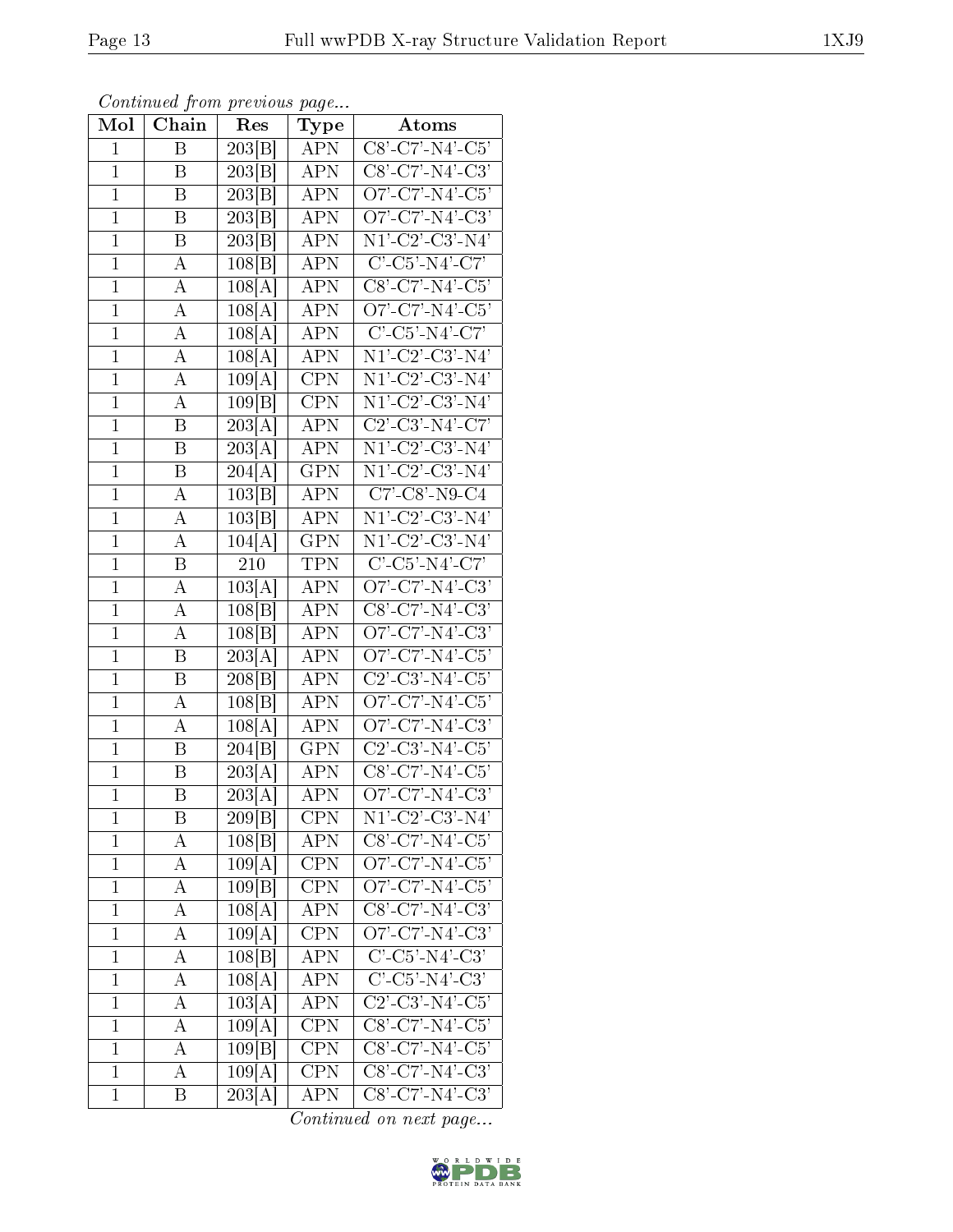| Mol          | Chain            | Res                 | $_{\rm Type}$           | Atoms                                                            |
|--------------|------------------|---------------------|-------------------------|------------------------------------------------------------------|
| $\mathbf{1}$ | $\overline{B}$   | 203 B               | <b>APN</b>              | $C8' - C7' - N4' - C5'$                                          |
| $\mathbf{1}$ | B                | 203 B               | <b>APN</b>              | $C8'$ -C7'-N4'-C3'                                               |
| $\mathbf{1}$ | Β                | $203\overline{B}$   | APN                     | $O7'$ -C7'-N4'-C5'                                               |
| $\mathbf{1}$ | B                | 203 B               | APN                     | O7'-C7'-N4'-C3'                                                  |
| $\mathbf{1}$ | B                | 203 B               | $\overline{\text{APN}}$ | $\overline{\text{N1'-C2'-C3'-N4'}}$                              |
| $\mathbf{1}$ | А                | 108 B               | <b>APN</b>              | $C'$ -C5'-N4'-C7'                                                |
| $\mathbf{1}$ | A                | 108[A]              | APN                     | $C8\overline{C7\cdot N4\cdot C5}$                                |
| $\mathbf{1}$ | A                | 108[A]              | <b>APN</b>              | O7'-C7'-N4'-C5'                                                  |
| $\mathbf{1}$ | A                | 108[A]              | <b>APN</b>              | $C'$ -C5'-N4'-C7'                                                |
| $\mathbf{1}$ | A                | 108                 | $\overline{\text{APN}}$ | $N1'$ -C2'-C3'-N4'                                               |
| $\mathbf{1}$ | А                | 109[A]              | <b>CPN</b>              | $N1'-C2'-C3'-N4'$                                                |
| $\mathbf{1}$ | А                | 109 B               | <b>CPN</b>              | $\overline{\mathrm{N1'~C2'~C3'~N4'}}$                            |
| $\mathbf{1}$ | B                | 203[A]              | <b>APN</b>              | $C2'$ - $C3'$ - $N4'$ - $C7'$                                    |
| $\mathbf{1}$ | Β                | 203                 | <b>APN</b>              | $N1'$ - $C2'$ - $C3'$ - $N4'$                                    |
| $\mathbf{1}$ | B                | 204[<br>А           | $\overline{\text{GPN}}$ | $N1\overline{\cdot C2\cdot C3\cdot N4}$                          |
| $\mathbf{1}$ | А                | 103 B               | <b>APN</b>              | $C7'$ -C8'-N9-C4                                                 |
| $\mathbf{1}$ | А                | 103 B               | <b>APN</b>              | $N1'-C2'-C3'-N4'$                                                |
| $\mathbf{1}$ | А                | 104[A]              | <b>GPN</b>              | $N1'$ -C2'-C3'-N4'                                               |
| $\mathbf{1}$ | Β                | 210                 | <b>TPN</b>              | $C'-C5'-N4'-C7'$                                                 |
| $\mathbf{1}$ | А                | 103[A]              | $AP\overline{N}$        | $O7'$ -C7'-N4'-C3'                                               |
| $\mathbf{1}$ | А                | 108 B               | <b>APN</b>              | $C8'$ -C7'-N4'-C3'                                               |
| $\mathbf{1}$ | A                | 108 B               | <b>APN</b>              | $O7'$ -C7'-N4'-C3'                                               |
| $\mathbf{1}$ | Β                | 203[                | <b>APN</b>              | O7'-C7'-N4'-C5'                                                  |
| $\mathbf{1}$ | B                | 208 B               | APN                     | $C2$ '-C3'-N4'-C5'                                               |
| $\mathbf{1}$ | A                | 108 B               | <b>APN</b>              | $O7'$ -C7'-N4'-C5'                                               |
| $\mathbf{1}$ | А                | $108 \overline{A} $ | <b>APN</b>              | O7'-C7'-N4'-C3'                                                  |
| $\mathbf{1}$ | Β                | 204[B]              | <b>GPN</b>              | $C2'$ - $C3'$ - $N4'$ - $C5'$                                    |
| $\mathbf{1}$ | B                | $\overline{203[A]}$ | <b>APN</b>              | $C8'-C7'-N4'-C5'$                                                |
| $\mathbf{1}$ | B                | 203[A]              | $\overline{\rm APN}$    | $O7'$ -C7'-N4'-C3'                                               |
| 1            | Β                | 209 B               | <b>CPN</b>              | $\overline{\mathrm{N1' \text{-} C2' \text{-} C3' \text{-} N4'}}$ |
| $\mathbf 1$  | А                | 108 B               | APN                     | $C8'$ -C7'-N4'-C5'                                               |
| $\mathbf{1}$ | А                | 109[A]              | <b>CPN</b>              | O7'-C7'- $\overline{\text{N4}'\text{-C5}}'$                      |
| $\mathbf{1}$ | А                | 109 B               | <b>CPN</b>              | $O7'$ -C7'-N4'-C5'                                               |
| $\mathbf{1}$ | A                | 108[A]              | $\overline{\text{APN}}$ | $CS'$ -C7'-N4'-C3'                                               |
| $\mathbf 1$  | А                | 109[A]              | <b>CPN</b>              | O7'-C7'-N4'-C3'                                                  |
| $\mathbf{1}$ | А                | 108 B               | APN                     | $C'-C5'-N4'-C3'$                                                 |
| $\mathbf 1$  | А                | 108[A]              | APN                     | $C'-C5'-N4'-C3'$                                                 |
| $\mathbf{1}$ | А                | 103[A]              | APN                     | $C2'$ - $C3'$ - $N4'$ - $C5'$                                    |
| $\mathbf 1$  | А                | 109[A]              | CPN                     | $\overline{\text{C8'-C7'-N4'-C5'}}$                              |
| $\mathbf 1$  | А                | 109 B               | <b>CPN</b>              | $C8'$ -C7'-N4'-C5'                                               |
| $\mathbf{1}$ | А                | 109[A]              | <b>CPN</b>              | $CS'$ -C7'-N4'-C3'                                               |
| $\mathbf{1}$ | $\boldsymbol{B}$ | 203[A]              | APN                     | $C8'$ -C7'-N4'-C3'                                               |

Continued from previous page...

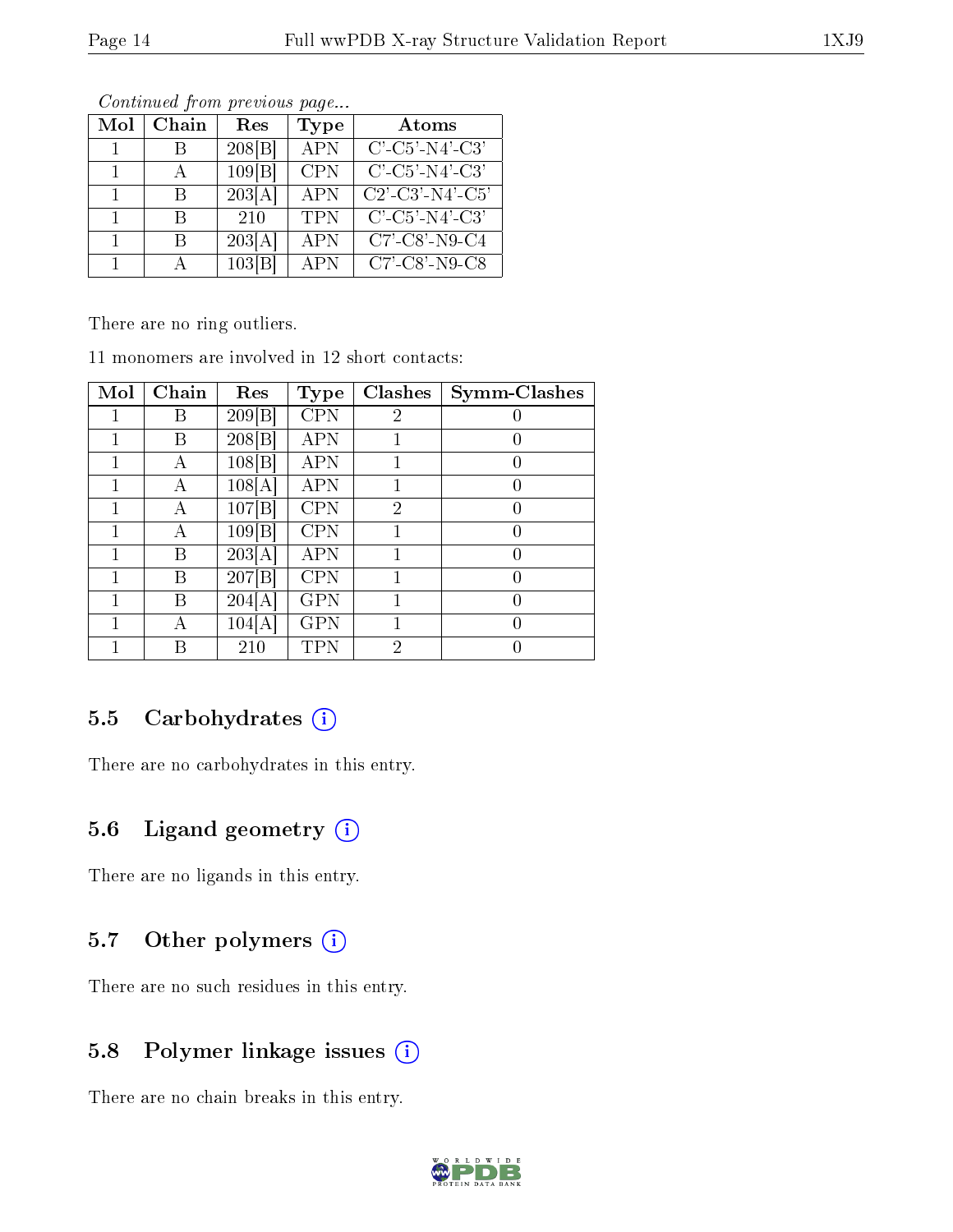| Mol | Chain | Res    | <b>Type</b> | Atoms                                                              |  |  |  |  |  |  |
|-----|-------|--------|-------------|--------------------------------------------------------------------|--|--|--|--|--|--|
|     |       | 208 B  | APN         | $C'$ -C5'-N4'-C3'                                                  |  |  |  |  |  |  |
|     |       | 109 B  | <b>CPN</b>  | $C'$ -C5'-N4'-C3'                                                  |  |  |  |  |  |  |
|     | R     | 203[A] | <b>APN</b>  | $C2'$ - $C3'$ - $N4'$ - $C5'$                                      |  |  |  |  |  |  |
| 1.  |       | 210    | <b>TPN</b>  | $C'$ -C5'-N4'-C3'                                                  |  |  |  |  |  |  |
| 1.  | R     | 203[A] | <b>APN</b>  | $C7$ <sup>-</sup> $C8$ <sup><math>\cdot</math></sup> - $N9$ - $C4$ |  |  |  |  |  |  |
| 1   |       | 103 B  | APN         | $C7'$ - $C8'$ - $N9$ - $C8$                                        |  |  |  |  |  |  |

Continued from previous page...

There are no ring outliers.

11 monomers are involved in 12 short contacts:

| Mol | Chain | Res    | Type       | <b>Clashes</b> | Symm-Clashes     |
|-----|-------|--------|------------|----------------|------------------|
|     | Β     | 209 B  | <b>CPN</b> | 2              |                  |
|     | Β     | 208 B  | <b>APN</b> |                | $\left( \right)$ |
|     | А     | 108 B  | <b>APN</b> |                | $\left( \right)$ |
|     | А     | 108[A] | <b>APN</b> |                | $\left( \right)$ |
|     | А     | 107[B] | <b>CPN</b> | $\overline{2}$ | $\left( \right)$ |
|     | А     | 109 B  | <b>CPN</b> |                | $\left( \right)$ |
|     | В     | 203[A] | <b>APN</b> |                | 0                |
|     | В     | 207 B  | <b>CPN</b> |                | 0                |
|     | В     | 204[A] | <b>GPN</b> |                | 0                |
|     | А     | 104[A] | <b>GPN</b> |                | $\left( \right)$ |
|     | В     | 210    | TPN        | $\overline{2}$ | 0                |

### 5.5 Carbohydrates  $(i)$

There are no carbohydrates in this entry.

### 5.6 Ligand geometry (i)

There are no ligands in this entry.

#### 5.7 [O](https://www.wwpdb.org/validation/2017/XrayValidationReportHelp#nonstandard_residues_and_ligands)ther polymers  $(i)$

There are no such residues in this entry.

### 5.8 Polymer linkage issues  $(i)$

There are no chain breaks in this entry.

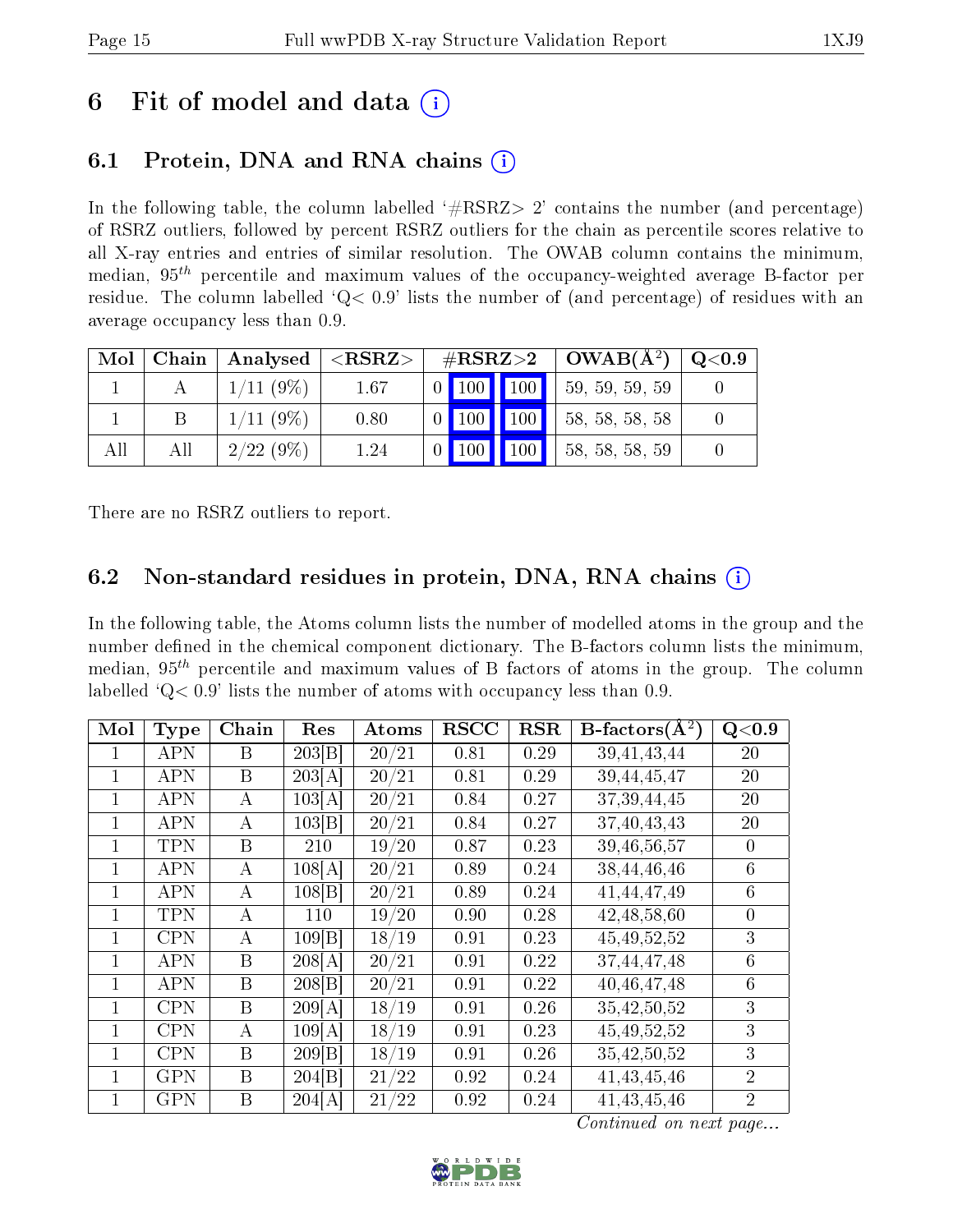## 6 Fit of model and data  $(i)$

## 6.1 Protein, DNA and RNA chains (i)

In the following table, the column labelled  $#RSRZ>2'$  contains the number (and percentage) of RSRZ outliers, followed by percent RSRZ outliers for the chain as percentile scores relative to all X-ray entries and entries of similar resolution. The OWAB column contains the minimum, median,  $95<sup>th</sup>$  percentile and maximum values of the occupancy-weighted average B-factor per residue. The column labelled ' $Q< 0.9$ ' lists the number of (and percentage) of residues with an average occupancy less than 0.9.

| Mol | Chain | $\mid$ Analysed $\mid$ | ${ <\hspace{-1.5pt} {\rm RSRZ} \hspace{-1.5pt}>}$ | $\rm \#RSRZ{>}2$    |                 | $\vert$ OWAB( $A^2$ ) | Q <sub>0.9</sub> |
|-----|-------|------------------------|---------------------------------------------------|---------------------|-----------------|-----------------------|------------------|
|     |       | $1/11(9\%)$            | 1.67                                              | $0$ 100 100         |                 | 59, 59, 59, 59        |                  |
|     | Β     | 1/11(9%)               | 0.80                                              | $0$ 100 100         |                 | 58, 58, 58, 58        |                  |
| All | All   | $2/22(9\%)$            | 1.24                                              | $\vert$ 100 $\vert$ | $\parallel$ 100 | 58, 58, 58, 59        |                  |

There are no RSRZ outliers to report.

### 6.2 Non-standard residues in protein, DNA, RNA chains (i)

In the following table, the Atoms column lists the number of modelled atoms in the group and the number defined in the chemical component dictionary. The B-factors column lists the minimum, median,  $95<sup>th</sup>$  percentile and maximum values of B factors of atoms in the group. The column labelled  $Q< 0.9$ ' lists the number of atoms with occupancy less than 0.9.

| Mol          | <b>Type</b> | Chain        | Res    | Atoms                  | <b>RSCC</b> | <b>RSR</b> | <b>B</b> -factors( $\AA^2$ ) | Q< 0.9         |
|--------------|-------------|--------------|--------|------------------------|-------------|------------|------------------------------|----------------|
| 1            | APN         | B            | 203 B  | 20/21                  | 0.81        | 0.29       | 39, 41, 43, 44               | 20             |
| $\mathbf{1}$ | <b>APN</b>  | B            | 203[A] | 20/21                  | 0.81        | 0.29       | 39,44,45,47                  | 20             |
| 1            | APN         | $\bf{A}$     | 103[A] | /21<br>20 <sub>1</sub> | 0.84        | 0.27       | 37, 39, 44, 45               | 20             |
| 1            | <b>APN</b>  | $\bf{A}$     | 103 B  | 20/21                  | 0.84        | 0.27       | 37,40,43,43                  | 20             |
|              | <b>TPN</b>  | B            | 210    | 19/20                  | 0.87        | 0.23       | 39,46,56,57                  | $\overline{0}$ |
| 1            | <b>APN</b>  | А            | 108[A] | 20/21                  | 0.89        | 0.24       | 38, 44, 46, 46               | 6              |
| 1            | <b>APN</b>  | A            | 108 B  | 20/21                  | 0.89        | 0.24       | 41,44,47,49                  | 6              |
| 1            | <b>TPN</b>  | А            | 110    | 19/20                  | 0.90        | 0.28       | 42, 48, 58, 60               | $\theta$       |
| 1            | <b>CPN</b>  | A            | 109 B  | 18/19                  | 0.91        | 0.23       | 45, 49, 52, 52               | 3              |
| 1            | <b>APN</b>  | B            | 208[A] | 20/21                  | 0.91        | 0.22       | 37,44,47,48                  | 6              |
| 1            | <b>APN</b>  | B            | 208 B  | 20/21                  | 0.91        | 0.22       | 40,46,47,48                  | 6              |
| 1            | <b>CPN</b>  | $\mathbf{B}$ | 209[A] | 18/19                  | 0.91        | 0.26       | 35,42,50,52                  | 3              |
| $\mathbf{1}$ | <b>CPN</b>  | A            | 109[A] | 18/19                  | 0.91        | 0.23       | 45, 49, 52, 52               | 3              |
| 1            | CPN         | B            | 209[B] | 18/19                  | 0.91        | 0.26       | 35,42,50,52                  | 3              |
| 1            | <b>GPN</b>  | B            | 204 B  | 21/22                  | 0.92        | 0.24       | 41, 43, 45, 46               | $\overline{2}$ |
| 1            | GPN         | B            | 204[A] | 21/22                  | 0.92        | 0.24       | 41, 43, 45, 46               | $\overline{2}$ |